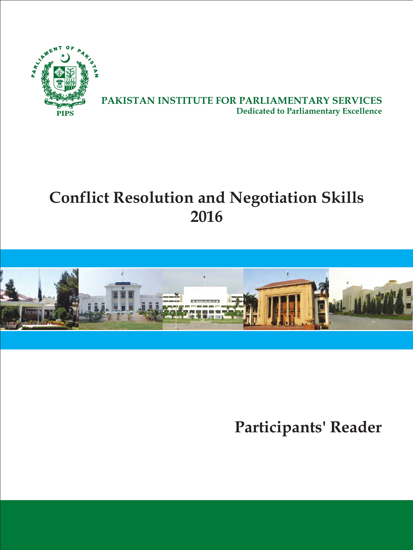

**PAKISTAN INSTITUTE FOR PARLIAMENTARY SERVICES Dedicated to Parliamentary Excellence**

# **Conflict Resolution and Negotiation Skills 2016**



**Participants' Reader**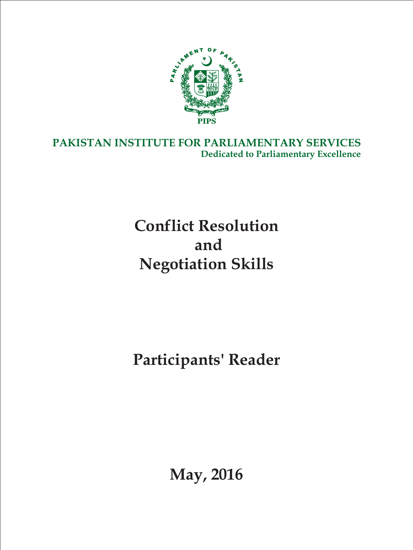

**PAKISTAN INSTITUTE FOR PARLIAMENTARY SERVICES Dedicated to Parliamentary Excellence**

# **Conflict Resolution and Negotiation Skills**

**Participants' Reader**

**May, 2016**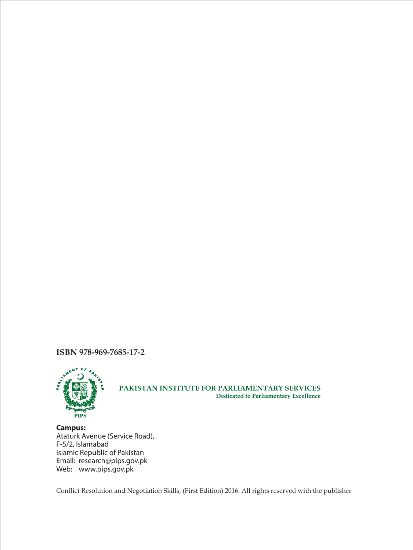**ISBN 978-969-7685-17-2**



#### **PAKISTAN INSTITUTE FOR PARLIAMENTARY SERVICES Dedicated to Parliamentary Excellence**

**Campus:** Ataturk Avenue (Service Road), F-5/2, Islamabad Islamic Republic of Pakistan Email: research@pips.gov.pk Web: www.pips.gov.pk

Conflict Resolution and Negotiation Skills, (First Edition) 2016. All rights reserved with the publisher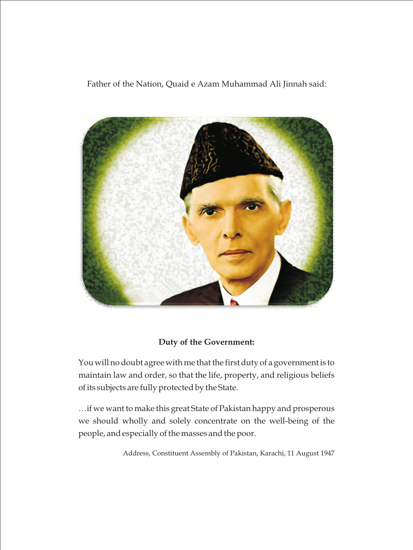Father of the Nation, Quaid e Azam Muhammad Ali Jinnah said:



# **Duty of the Government:**

You will no doubt agree with me that the first duty of a government is to maintain law and order, so that the life, property, and religious beliefs of its subjects are fully protected by the State.

…if we want to make this great State of Pakistan happy and prosperous we should wholly and solely concentrate on the well-being of the people, and especially of the masses and the poor.

Address, Constituent Assembly of Pakistan, Karachi, 11 August 1947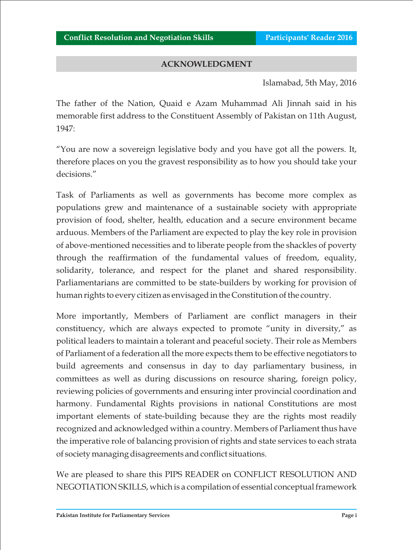## **ACKNOWLEDGMENT**

Islamabad, 5th May, 2016

The father of the Nation, Quaid e Azam Muhammad Ali Jinnah said in his memorable first address to the Constituent Assembly of Pakistan on 11th August, 1947:

"You are now a sovereign legislative body and you have got all the powers. It, therefore places on you the gravest responsibility as to how you should take your decisions."

Task of Parliaments as well as governments has become more complex as populations grew and maintenance of a sustainable society with appropriate provision of food, shelter, health, education and a secure environment became arduous. Members of the Parliament are expected to play the key role in provision of above-mentioned necessities and to liberate people from the shackles of poverty through the reaffirmation of the fundamental values of freedom, equality, solidarity, tolerance, and respect for the planet and shared responsibility. Parliamentarians are committed to be state-builders by working for provision of human rights to every citizen as envisaged in the Constitution of the country.

More importantly, Members of Parliament are conflict managers in their constituency, which are always expected to promote "unity in diversity," as political leaders to maintain a tolerant and peaceful society. Their role as Members of Parliament of a federation all the more expects them to be effective negotiators to build agreements and consensus in day to day parliamentary business, in committees as well as during discussions on resource sharing, foreign policy, reviewing policies of governments and ensuring inter provincial coordination and harmony. Fundamental Rights provisions in national Constitutions are most important elements of state-building because they are the rights most readily recognized and acknowledged within a country. Members of Parliament thus have the imperative role of balancing provision of rights and state services to each strata of society managing disagreements and conflict situations.

We are pleased to share this PIPS READER on CONFLICT RESOLUTION AND NEGOTIATION SKILLS, which is a compilation of essential conceptual framework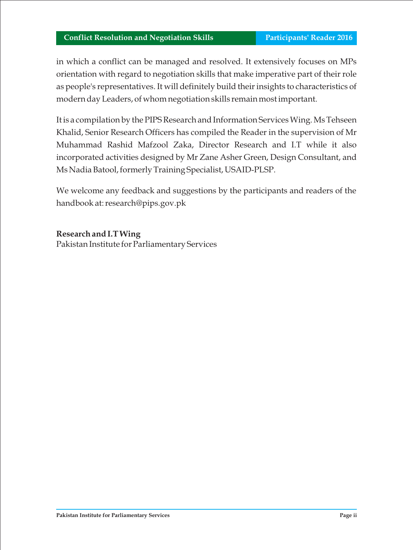in which a conflict can be managed and resolved. It extensively focuses on MPs orientation with regard to negotiation skills that make imperative part of their role as people's representatives. It will definitely build their insights to characteristics of modern day Leaders, of whom negotiation skills remain most important.

It is a compilation by the PIPS Research and Information Services Wing. Ms Tehseen Khalid, Senior Research Officers has compiled the Reader in the supervision of Mr Muhammad Rashid Mafzool Zaka, Director Research and I.T while it also incorporated activities designed by Mr Zane Asher Green, Design Consultant, and Ms Nadia Batool, formerly Training Specialist, USAID-PLSP.

We welcome any feedback and suggestions by the participants and readers of the handbook at: research@pips.gov.pk

**Research and I.T Wing**

Pakistan Institute for Parliamentary Services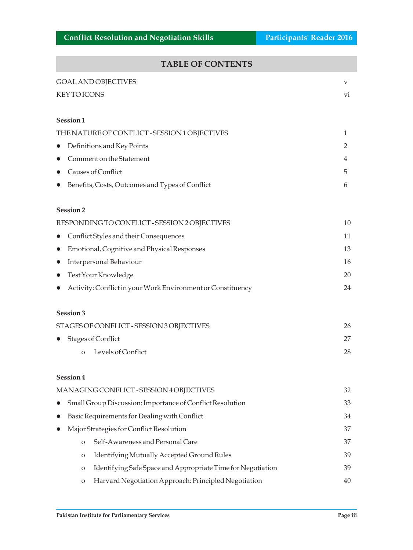# **TABLE OF CONTENTS**

| TADLE OF CONTENTS                                                           |    |
|-----------------------------------------------------------------------------|----|
| <b>GOAL AND OBJECTIVES</b>                                                  | V  |
| <b>KEY TO ICONS</b>                                                         | vi |
| Session1                                                                    |    |
| THE NATURE OF CONFLICT - SESSION 1 OBJECTIVES                               | 1  |
| Definitions and Key Points<br>$\bullet$                                     | 2  |
| Comment on the Statement<br>$\bullet$                                       | 4  |
| <b>Causes of Conflict</b><br>$\bullet$                                      | 5  |
| Benefits, Costs, Outcomes and Types of Conflict<br>$\bullet$                | 6  |
| Session <sub>2</sub>                                                        |    |
| RESPONDING TO CONFLICT - SESSION 2 OBJECTIVES                               | 10 |
| Conflict Styles and their Consequences<br>$\bullet$                         | 11 |
| Emotional, Cognitive and Physical Responses<br>$\bullet$                    | 13 |
| Interpersonal Behaviour<br>$\bullet$                                        | 16 |
| Test Your Knowledge<br>$\bullet$                                            | 20 |
| Activity: Conflict in your Work Environment or Constituency<br>$\bullet$    | 24 |
| Session 3                                                                   |    |
| STAGES OF CONFLICT - SESSION 3 OBJECTIVES                                   | 26 |
| <b>Stages of Conflict</b>                                                   | 27 |
| Levels of Conflict<br>$\Omega$                                              | 28 |
| Session 4                                                                   |    |
| MANAGING CONFLICT - SESSION 4 OBJECTIVES                                    | 32 |
| Small Group Discussion: Importance of Conflict Resolution<br>$\bullet$      | 33 |
| Basic Requirements for Dealing with Conflict<br>$\bullet$                   | 34 |
| Major Strategies for Conflict Resolution                                    | 37 |
| Self-Awareness and Personal Care<br>$\mathbf{O}$                            | 37 |
| Identifying Mutually Accepted Ground Rules<br>$\mathbf{O}$                  | 39 |
| Identifying Safe Space and Appropriate Time for Negotiation<br>$\mathbf{O}$ | 39 |

o Harvard Negotiation Approach: Principled Negotiation 40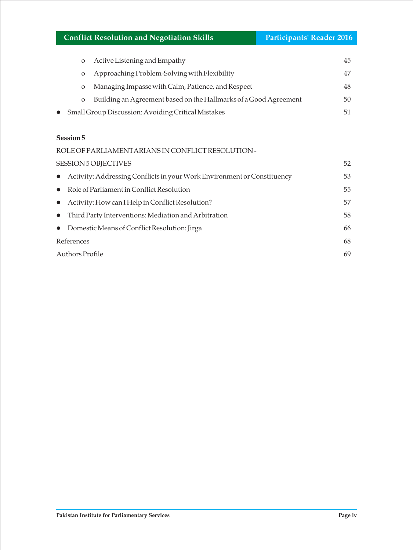## **Conflict Resolution and Negotiation Skills <b>Participants' Reader 2016**

| $\Omega$     | Active Listening and Empathy                                     | 45  |
|--------------|------------------------------------------------------------------|-----|
| $\circ$      | Approaching Problem-Solving with Flexibility                     | 47  |
| $\mathbf{O}$ | Managing Impasse with Calm, Patience, and Respect                | 48. |
| $\circ$      | Building an Agreement based on the Hallmarks of a Good Agreement | 50  |
|              | <b>Small Group Discussion: Avoiding Critical Mistakes</b>        |     |

#### **Session 5**

 $\bullet$ 

| ROLE OF PARLIAMENTARIANS IN CONFLICT RESOLUTION -                         |    |
|---------------------------------------------------------------------------|----|
| SESSION 5 OBJECTIVES                                                      | 52 |
| • Activity: Addressing Conflicts in your Work Environment or Constituency | 53 |
| $\bullet$ Role of Parliament in Conflict Resolution                       | 55 |
| • Activity: How can I Help in Conflict Resolution?                        | 57 |
| • Third Party Interventions: Mediation and Arbitration                    | 58 |
| • Domestic Means of Conflict Resolution: Jirga                            | 66 |
| References                                                                | 68 |
| <b>Authors Profile</b>                                                    | 69 |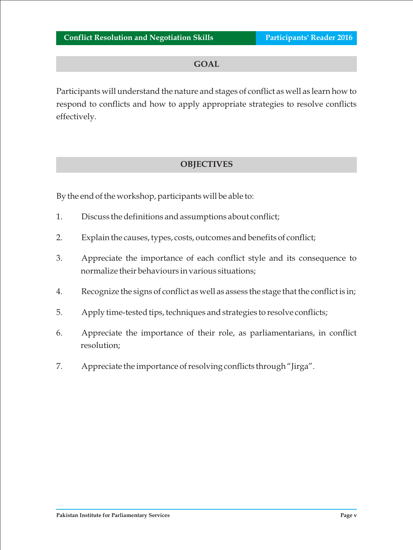#### **GOAL**

Participants will understand the nature and stages of conflict as well as learn how to respond to conflicts and how to apply appropriate strategies to resolve conflicts effectively.

# **OBJECTIVES**

By the end of the workshop, participants will be able to:

- 1. Discuss the definitions and assumptions about conflict;
- 2. Explain the causes, types, costs, outcomes and benefits of conflict;
- 3. Appreciate the importance of each conflict style and its consequence to normalize their behaviours in various situations;
- 4. Recognize the signs of conflict as well as assess the stage that the conflict is in;
- 5. Apply time-tested tips, techniques and strategies to resolve conflicts;
- 6. Appreciate the importance of their role, as parliamentarians, in conflict resolution;
- 7. Appreciate the importance of resolving conflicts through "Jirga".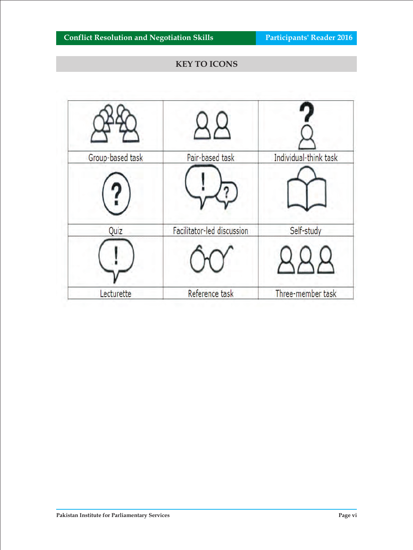# **KEY TO ICONS**

| Group-based task | Pair-based task            | Individual-think task |
|------------------|----------------------------|-----------------------|
|                  |                            |                       |
| Quiz             | Facilitator-led discussion | Self-study            |
|                  |                            |                       |
| Lecturette       | Reference task             | Three-member task     |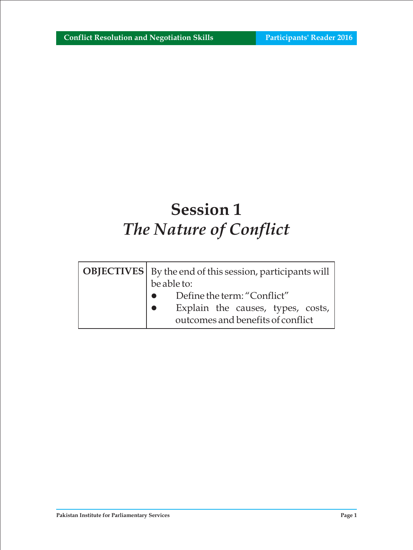# **Session 1** *The Nature of Conflict*

| <b>OBJECTIVES</b>   By the end of this session, participants will<br>be able to: |  |  |  |
|----------------------------------------------------------------------------------|--|--|--|
| Define the term: "Conflict"                                                      |  |  |  |
| Explain the causes, types, costs,                                                |  |  |  |
| outcomes and benefits of conflict                                                |  |  |  |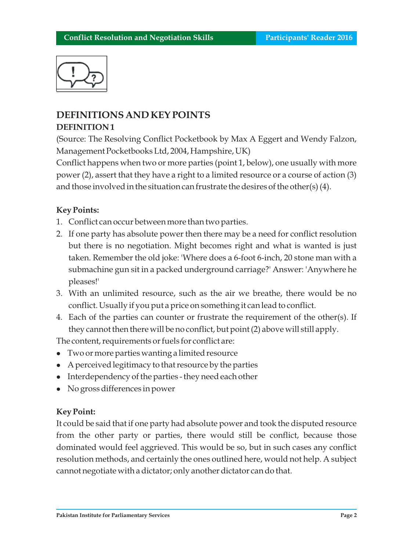

# **DEFINITIONS AND KEY POINTS DEFINITION 1**

(Source: The Resolving Conflict Pocketbook by Max A Eggert and Wendy Falzon, Management Pocketbooks Ltd, 2004, Hampshire, UK)

Conflict happens when two or more parties (point 1, below), one usually with more power (2), assert that they have a right to a limited resource or a course of action (3) and those involved in the situation can frustrate the desires of the other(s) (4).

# **Key Points:**

- 1. Conflict can occur between more than two parties.
- 2. If one party has absolute power then there may be a need for conflict resolution but there is no negotiation. Might becomes right and what is wanted is just taken. Remember the old joke: 'Where does a 6-foot 6-inch, 20 stone man with a submachine gun sit in a packed underground carriage?' Answer: 'Anywhere he pleases!'
- 3. With an unlimited resource, such as the air we breathe, there would be no conflict. Usually if you put a price on something it can lead to conflict.
- 4. Each of the parties can counter or frustrate the requirement of the other(s). If they cannot then there will be no conflict, but point (2) above will still apply.

The content, requirements or fuels for conflict are:

- Two or more parties wanting a limited resource
- A perceived legitimacy to that resource by the parties
- l Interdependency of the parties they need each other
- No gross differences in power

### **Key Point:**

It could be said that if one party had absolute power and took the disputed resource from the other party or parties, there would still be conflict, because those dominated would feel aggrieved. This would be so, but in such cases any conflict resolution methods, and certainly the ones outlined here, would not help. A subject cannot negotiate with a dictator; only another dictator can do that.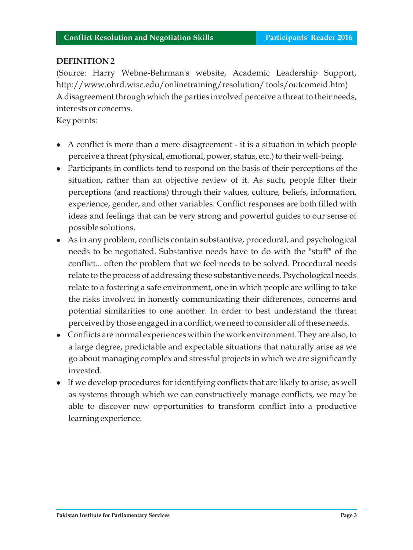### **DEFINITION 2**

(Source: Harry Webne-Behrman's website, Academic Leadership Support, http://www.ohrd.wisc.edu/onlinetraining/resolution/ tools/outcomeid.htm) A disagreement through which the parties involved perceive a threat to their needs, interests or concerns.

Key points:

- $\bullet$  A conflict is more than a mere disagreement it is a situation in which people perceive a threat (physical, emotional, power, status, etc.) to their well-being.
- Participants in conflicts tend to respond on the basis of their perceptions of the situation, rather than an objective review of it. As such, people filter their perceptions (and reactions) through their values, culture, beliefs, information, experience, gender, and other variables. Conflict responses are both filled with ideas and feelings that can be very strong and powerful guides to our sense of possible solutions.
- As in any problem, conflicts contain substantive, procedural, and psychological needs to be negotiated. Substantive needs have to do with the "stuff" of the conflict... often the problem that we feel needs to be solved. Procedural needs relate to the process of addressing these substantive needs. Psychological needs relate to a fostering a safe environment, one in which people are willing to take the risks involved in honestly communicating their differences, concerns and potential similarities to one another. In order to best understand the threat perceived by those engaged in a conflict, we need to consider all of these needs.
- Conflicts are normal experiences within the work environment. They are also, to a large degree, predictable and expectable situations that naturally arise as we go about managing complex and stressful projects in which we are significantly invested.
- l If we develop procedures for identifying conflicts that are likely to arise, as well as systems through which we can constructively manage conflicts, we may be able to discover new opportunities to transform conflict into a productive learning experience.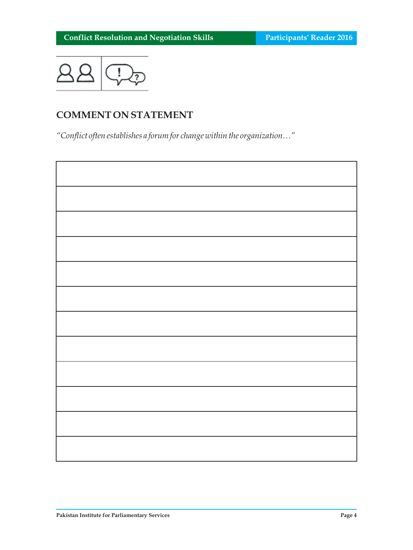

# **COMMENT ON STATEMENT**

*"Conflict often establishes a forum for change within the organization…"*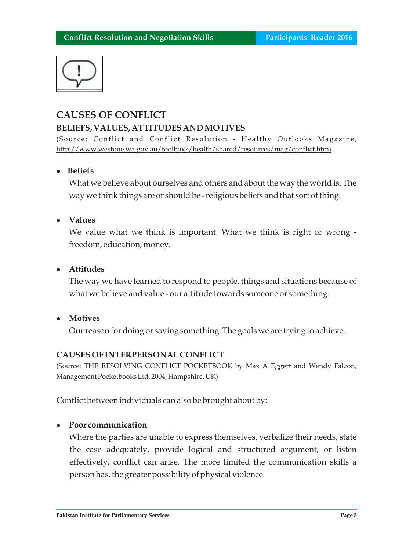

# **CAUSES OF CONFLICT BELIEFS, VALUES, ATTITUDES AND MOTIVES**

(Source: Conflict and Conflict Resolution - Healthy Outlooks Magazine, http://www.westone.wa.gov.au/toolbox7/health/shared/resources/mag/conflict.htm)

## <sup>l</sup>**Beliefs**

What we believe about ourselves and others and about the way the world is. The way we think things are or should be - religious beliefs and that sort of thing.

### <sup>l</sup>**Values**

We value what we think is important. What we think is right or wrong freedom, education, money.

### *<u>Attitudes</u>*

The way we have learned to respond to people, things and situations because of what we believe and value - our attitude towards someone or something.

 $\bullet$  Motives

Our reason for doing or saying something. The goals we are trying to achieve.

### **CAUSES OF INTERPERSONAL CONFLICT**

(Source: THE RESOLVING CONFLICT POCKETBOOK by Max A Eggert and Wendy Falzon, Management Pocketbooks Ltd, 2004, Hampshire, UK)

Conflict between individuals can also be brought about by:

### <sup>l</sup>**Poor communication**

Where the parties are unable to express themselves, verbalize their needs, state the case adequately, provide logical and structured argument, or listen effectively, conflict can arise. The more limited the communication skills a person has, the greater possibility of physical violence.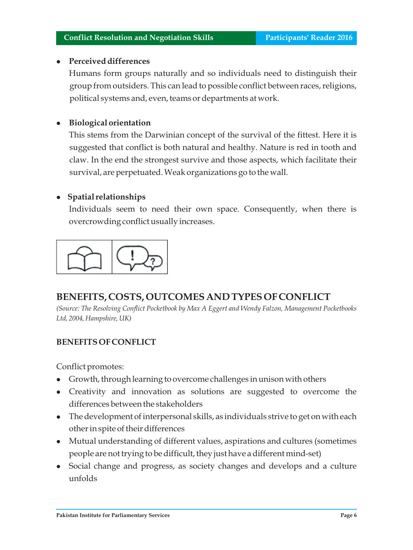## <sup>l</sup>**Perceived differences**

Humans form groups naturally and so individuals need to distinguish their group from outsiders. This can lead to possible conflict between races, religions, political systems and, even, teams or departments at work.

# **•** Biological orientation

This stems from the Darwinian concept of the survival of the fittest. Here it is suggested that conflict is both natural and healthy. Nature is red in tooth and claw. In the end the strongest survive and those aspects, which facilitate their survival, are perpetuated. Weak organizations go to the wall.

# **•** Spatial relationships

Individuals seem to need their own space. Consequently, when there is overcrowding conflict usually increases.



# **BENEFITS, COSTS, OUTCOMES AND TYPES OF CONFLICT**

*(Source: The Resolving Conflict Pocketbook by Max A Eggert and Wendy Falzon, Management Pocketbooks Ltd, 2004, Hampshire, UK)*

# **BENEFITS OF CONFLICT**

Conflict promotes:

- <sup>l</sup>Growth, through learning to overcome challenges in unison with others
- Creativity and innovation as solutions are suggested to overcome the differences between the stakeholders
- l The development of interpersonal skills, as individuals strive to get on with each other in spite of their differences
- Mutual understanding of different values, aspirations and cultures (sometimes people are not trying to be difficult, they just have a different mind-set)
- Social change and progress, as society changes and develops and a culture unfolds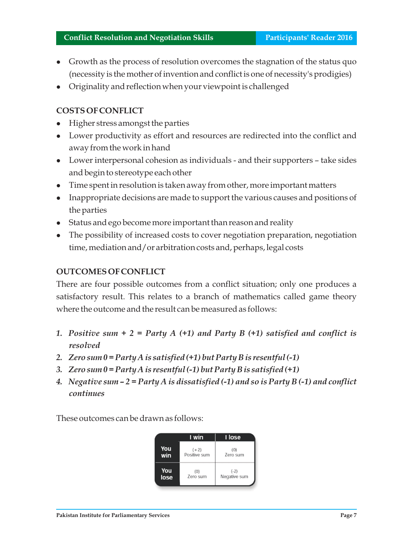- Growth as the process of resolution overcomes the stagnation of the status quo (necessity is the mother of invention and conflict is one of necessity's prodigies)
- l Originality and reflection when your viewpoint is challenged

# **COSTS OF CONFLICT**

- <sup>l</sup>Higher stress amongst the parties
- Lower productivity as effort and resources are redirected into the conflict and away from the work in hand
- Lower interpersonal cohesion as individuals and their supporters take sides and begin to stereotype each other
- Time spent in resolution is taken away from other, more important matters
- l Inappropriate decisions are made to support the various causes and positions of the parties
- Status and ego become more important than reason and reality
- The possibility of increased costs to cover negotiation preparation, negotiation time, mediation and/or arbitration costs and, perhaps, legal costs

### **OUTCOMES OF CONFLICT**

There are four possible outcomes from a conflict situation; only one produces a satisfactory result. This relates to a branch of mathematics called game theory where the outcome and the result can be measured as follows:

- *1. Positive sum + 2 = Party A (+1) and Party B (+1) satisfied and conflict is resolved*
- *2. Zero sum 0 = Party A is satisfied (+1) but Party B is resentful (-1)*
- *3. Zero sum 0 = Party A is resentful (-1) but Party B is satisfied (+1)*
- *4. Negative sum 2 = Party A is dissatisfied (-1) and so is Party B (-1) and conflict continues*

These outcomes can be drawn as follows:

|      | I win        | I lose       |
|------|--------------|--------------|
| You  | $(+2)$       | (0)          |
| win  | Positive sum | Zero sum     |
| You  | (0)          | $(-2)$       |
| lose | Zero sum     | Negative sum |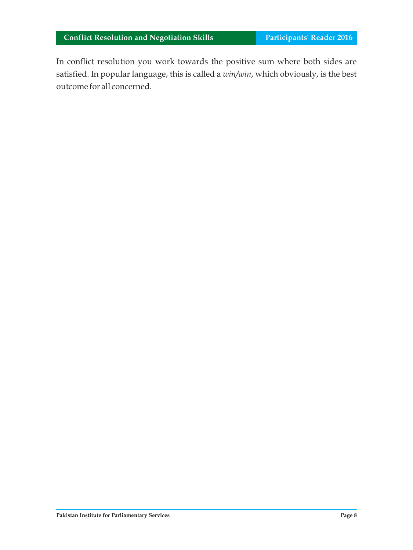In conflict resolution you work towards the positive sum where both sides are satisfied. In popular language, this is called a *win/win*, which obviously, is the best outcome for all concerned.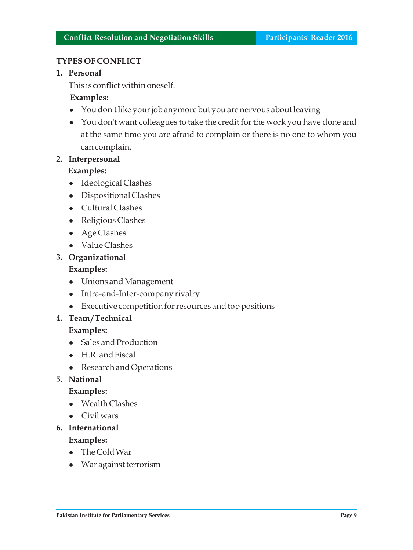#### **TYPES OF CONFLICT**

#### **1. Personal**

This is conflict within oneself.

## **Examples:**

- You don't like your job anymore but you are nervous about leaving
- You don't want colleagues to take the credit for the work you have done and at the same time you are afraid to complain or there is no one to whom you can complain.

## **2. Interpersonal**

### **Examples:**

- Ideological Clashes
- Dispositional Clashes
- Cultural Clashes
- Religious Clashes
- Age Clashes
- Value Clashes

#### **3. Organizational**

#### **Examples:**

- Unions and Management
- Intra-and-Inter-company rivalry
- Executive competition for resources and top positions

#### **4. Team / Technical**

#### **Examples:**

- Sales and Production
- H.R. and Fiscal
- Research and Operations

#### **5. National**

#### **Examples:**

- $\bullet$  Wealth Clashes
- Civil wars
- **6. International**

#### **Examples:**

- $\bullet$  The Cold War
- War against terrorism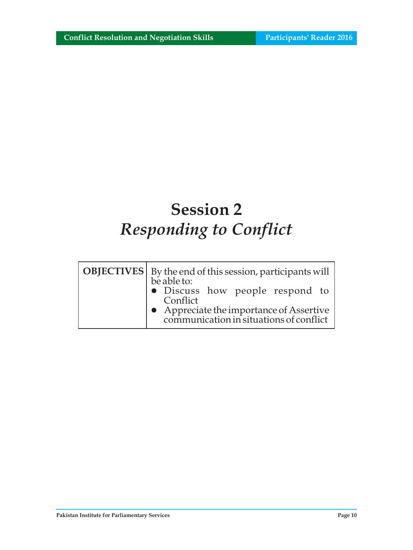# **Session 2** *Responding to Conflict*

| <b>OBJECTIVES</b>   By the end of this session, participants will<br>be able to:    |  |  |  |
|-------------------------------------------------------------------------------------|--|--|--|
| $\bullet$ Discuss how people respond to<br>Conflict                                 |  |  |  |
| • Appreciate the importance of Assertive<br>communication in situations of conflict |  |  |  |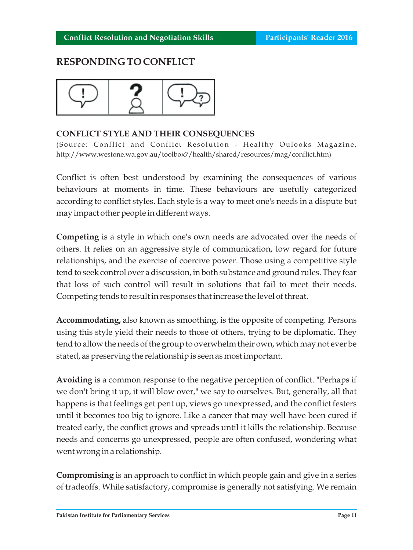# **RESPONDING TO CONFLICT**



## **CONFLICT STYLE AND THEIR CONSEQUENCES**

(Source: Conflict and Conflict Resolution - Healthy Oulooks Magazine, http://www.westone.wa.gov.au/toolbox7/health/shared/resources/mag/conflict.htm)

Conflict is often best understood by examining the consequences of various behaviours at moments in time. These behaviours are usefully categorized according to conflict styles. Each style is a way to meet one's needs in a dispute but may impact other people in different ways.

**Competing** is a style in which one's own needs are advocated over the needs of others. It relies on an aggressive style of communication, low regard for future relationships, and the exercise of coercive power. Those using a competitive style tend to seek control over a discussion, in both substance and ground rules. They fear that loss of such control will result in solutions that fail to meet their needs. Competing tends to result in responses that increase the level of threat.

**Accommodating,** also known as smoothing, is the opposite of competing. Persons using this style yield their needs to those of others, trying to be diplomatic. They tend to allow the needs of the group to overwhelm their own, which may not ever be stated, as preserving the relationship is seen as most important.

**Avoiding** is a common response to the negative perception of conflict. "Perhaps if we don't bring it up, it will blow over," we say to ourselves. But, generally, all that happens is that feelings get pent up, views go unexpressed, and the conflict festers until it becomes too big to ignore. Like a cancer that may well have been cured if treated early, the conflict grows and spreads until it kills the relationship. Because needs and concerns go unexpressed, people are often confused, wondering what went wrong in a relationship.

**Compromising** is an approach to conflict in which people gain and give in a series of tradeoffs. While satisfactory, compromise is generally not satisfying. We remain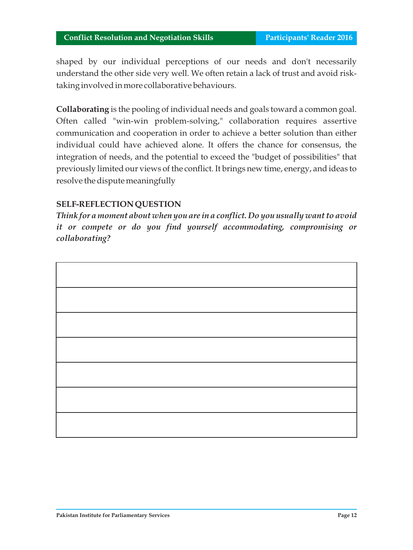shaped by our individual perceptions of our needs and don't necessarily understand the other side very well. We often retain a lack of trust and avoid risktaking involved in more collaborative behaviours.

**Collaborating** is the pooling of individual needs and goals toward a common goal. Often called "win-win problem-solving," collaboration requires assertive communication and cooperation in order to achieve a better solution than either individual could have achieved alone. It offers the chance for consensus, the integration of needs, and the potential to exceed the "budget of possibilities" that previously limited our views of the conflict. It brings new time, energy, and ideas to resolve the dispute meaningfully

### **SELF-REFLECTION QUESTION**

*Think for a moment about when you are in a conflict. Do you usually want to avoid it or compete or do you find yourself accommodating, compromising or collaborating?*

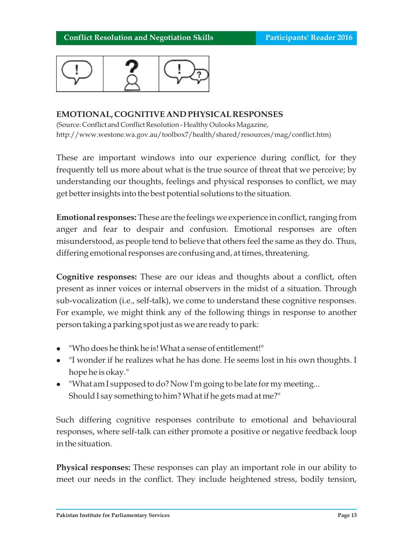

#### **EMOTIONAL, COGNITIVE AND PHYSICAL RESPONSES**

(Source: Conflict and Conflict Resolution - Healthy Oulooks Magazine, http://www.westone.wa.gov.au/toolbox7/health/shared/resources/mag/conflict.htm)

These are important windows into our experience during conflict, for they frequently tell us more about what is the true source of threat that we perceive; by understanding our thoughts, feelings and physical responses to conflict, we may get better insights into the best potential solutions to the situation.

**Emotional responses:** These are the feelings we experience in conflict, ranging from anger and fear to despair and confusion. Emotional responses are often misunderstood, as people tend to believe that others feel the same as they do. Thus, differing emotional responses are confusing and, at times, threatening.

**Cognitive responses:** These are our ideas and thoughts about a conflict, often present as inner voices or internal observers in the midst of a situation. Through sub-vocalization (i.e., self-talk), we come to understand these cognitive responses. For example, we might think any of the following things in response to another person taking a parking spot just as we are ready to park:

- <sup>l</sup>"Who does he think he is! What a sense of entitlement!"
- "I wonder if he realizes what he has done. He seems lost in his own thoughts. I hope he is okay."
- l "What am I supposed to do? Now I'm going to be late for my meeting... Should I say something to him? What if he gets mad at me?"

Such differing cognitive responses contribute to emotional and behavioural responses, where self-talk can either promote a positive or negative feedback loop in the situation.

**Physical responses:** These responses can play an important role in our ability to meet our needs in the conflict. They include heightened stress, bodily tension,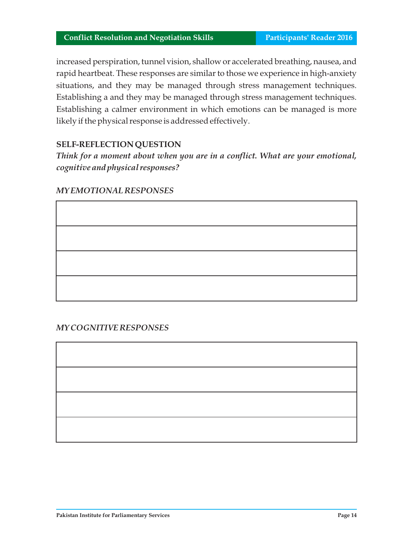increased perspiration, tunnel vision, shallow or accelerated breathing, nausea, and rapid heartbeat. These responses are similar to those we experience in high-anxiety situations, and they may be managed through stress management techniques. Establishing a and they may be managed through stress management techniques. Establishing a calmer environment in which emotions can be managed is more likely if the physical response is addressed effectively.

## **SELF-REFLECTION QUESTION**

*Think for a moment about when you are in a conflict. What are your emotional, cognitive and physical responses?*

#### *MY EMOTIONAL RESPONSES*

#### *MY COGNITIVE RESPONSES*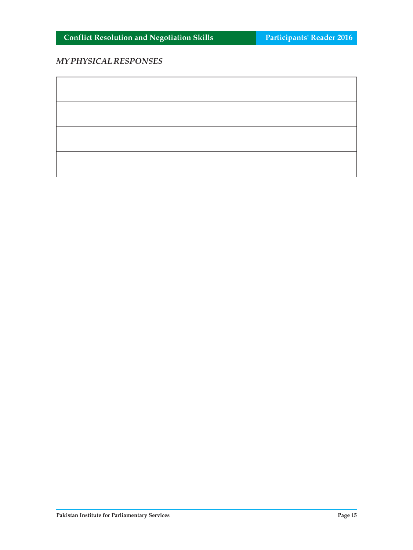## *MY PHYSICAL RESPONSES*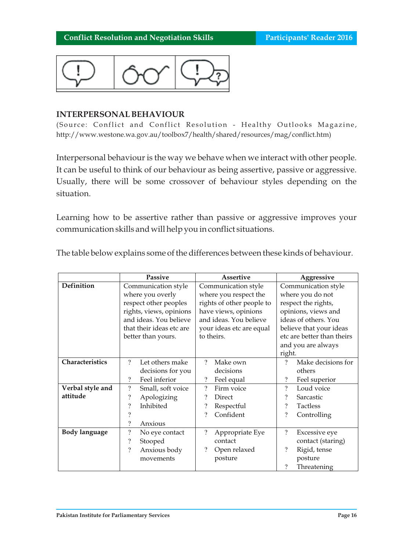

#### **INTERPERSONAL BEHAVIOUR**

(Source: Conflict and Conflict Resolution - Healthy Outlooks Magazine, http://www.westone.wa.gov.au/toolbox7/health/shared/resources/mag/conflict.htm)

Interpersonal behaviour is the way we behave when we interact with other people. It can be useful to think of our behaviour as being assertive, passive or aggressive. Usually, there will be some crossover of behaviour styles depending on the situation.

Learning how to be assertive rather than passive or aggressive improves your communication skills and will help you in conflict situations.

|                      | <b>Passive</b>                                | Assertive                        | Aggressive                          |  |
|----------------------|-----------------------------------------------|----------------------------------|-------------------------------------|--|
| Definition           | Communication style                           | Communication style              | Communication style                 |  |
|                      | where you overly                              | where you respect the            | where you do not                    |  |
|                      | respect other peoples                         | rights of other people to        | respect the rights,                 |  |
|                      | rights, views, opinions                       | have views, opinions             | opinions, views and                 |  |
|                      | and ideas. You believe                        | and ideas. You believe           | ideas of others. You                |  |
|                      | that their ideas etc are                      | your ideas etc are equal         | believe that your ideas             |  |
|                      | better than yours.                            | to theirs.                       | etc are better than theirs          |  |
|                      |                                               |                                  | and you are always                  |  |
|                      |                                               |                                  | right.                              |  |
| Characteristics      | $\gamma$<br>Let others make                   | $\gamma$<br>Make own             | Make decisions for<br>9             |  |
|                      | decisions for you                             | decisions                        | others                              |  |
|                      | Feel inferior<br>$\gamma$                     | $\overline{\cdot}$<br>Feel equal | $\overline{\cdot}$<br>Feel superior |  |
| Verbal style and     | $\overline{\mathcal{L}}$<br>Small, soft voice | ?<br>Firm voice                  | $\gamma$<br>Loud voice              |  |
| attitude             | $\overline{\cdot}$<br>Apologizing             | Direct<br>?                      | $\gamma$<br>Sarcastic               |  |
|                      | $\gamma$<br>Inhibited                         | ?<br>Respectful                  | $\gamma$<br><b>Tactless</b>         |  |
|                      | 9                                             | Confident<br>?                   | $\overline{\cdot}$<br>Controlling   |  |
|                      | ?<br>Anxious                                  |                                  |                                     |  |
| <b>Body language</b> | $\overline{\mathcal{L}}$<br>No eye contact    | ?<br>Appropriate Eye             | $\gamma$<br>Excessive eye           |  |
|                      | ?<br>Stooped                                  | contact                          | contact (staring)                   |  |
|                      | $\overline{\mathcal{L}}$<br>Anxious body      | Open relaxed                     | $\gamma$<br>Rigid, tense            |  |
|                      | movements                                     | posture                          | posture                             |  |
|                      |                                               |                                  | ?<br>Threatening                    |  |

The table below explains some of the differences between these kinds of behaviour.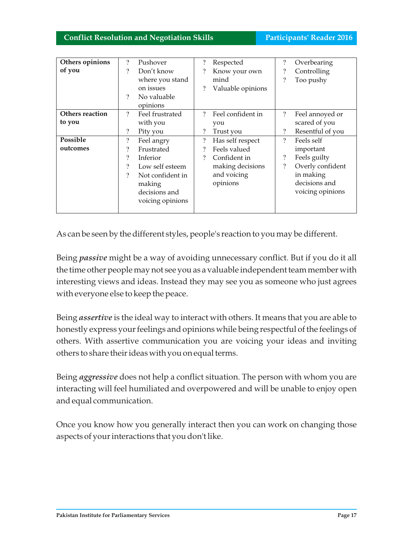| Others opinions | $\overline{\mathcal{L}}$ | Pushover         | $\overline{\cdot}$       | Respected         | $\overline{\mathcal{C}}$ | Overbearing      |
|-----------------|--------------------------|------------------|--------------------------|-------------------|--------------------------|------------------|
| of you          | $\overline{\mathcal{C}}$ | Don't know       |                          | Know your own     | $\overline{\cdot}$       | Controlling      |
|                 |                          | where you stand  |                          | mind              | $\overline{\mathcal{L}}$ | Too pushy        |
|                 |                          | on issues        | ?                        | Valuable opinions |                          |                  |
|                 | ?                        | No valuable      |                          |                   |                          |                  |
|                 |                          | opinions         |                          |                   |                          |                  |
| Others reaction | ?                        | Feel frustrated  | $\mathcal{P}$            | Feel confident in | $\overline{\mathcal{L}}$ | Feel annoyed or  |
| to you          |                          | with you         |                          | you               |                          | scared of you    |
|                 | $\overline{\mathcal{C}}$ | Pity you         |                          | Trust you         | $\overline{\mathcal{L}}$ | Resentful of you |
| Possible        | $\overline{\cdot}$       | Feel angry       | $\overline{\mathcal{L}}$ | Has self respect  | $\gamma$                 | Feels self       |
| outcomes        | ?                        | Frustrated       |                          | Feels valued      |                          | important        |
|                 | $\overline{\mathcal{C}}$ | Inferior         |                          | Confident in      | $\overline{\cdot}$       | Feels guilty     |
|                 | ?                        | Low self esteem  |                          | making decisions  | $\overline{\mathcal{L}}$ | Overly confident |
|                 | ?                        | Not confident in |                          | and voicing       |                          | in making        |
|                 |                          | making           |                          | opinions          |                          | decisions and    |
|                 |                          | decisions and    |                          |                   |                          | voicing opinions |
|                 |                          | voicing opinions |                          |                   |                          |                  |
|                 |                          |                  |                          |                   |                          |                  |

As can be seen by the different styles, people's reaction to you may be different.

Being *passive* might be a way of avoiding unnecessary conflict. But if you do it all the time other people may not see you as a valuable independent team member with interesting views and ideas. Instead they may see you as someone who just agrees with everyone else to keep the peace.

Being *assertive* is the ideal way to interact with others. It means that you are able to honestly express your feelings and opinions while being respectful of the feelings of others. With assertive communication you are voicing your ideas and inviting others to share their ideas with you on equal terms.

Being *aggressive* does not help a conflict situation. The person with whom you are interacting will feel humiliated and overpowered and will be unable to enjoy open and equal communication.

Once you know how you generally interact then you can work on changing those aspects of your interactions that you don't like.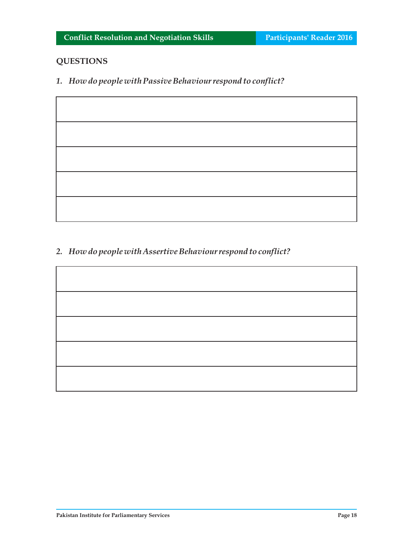## **QUESTIONS**

*1. How do people with Passive Behaviour respond to conflict?* 

*2. How do people with Assertive Behaviour respond to conflict?*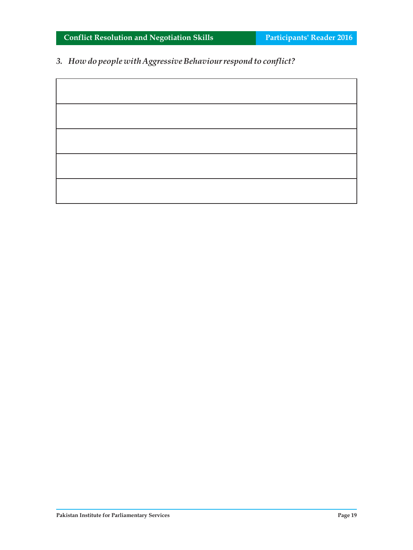*3. How do people with Aggressive Behaviour respond to conflict?*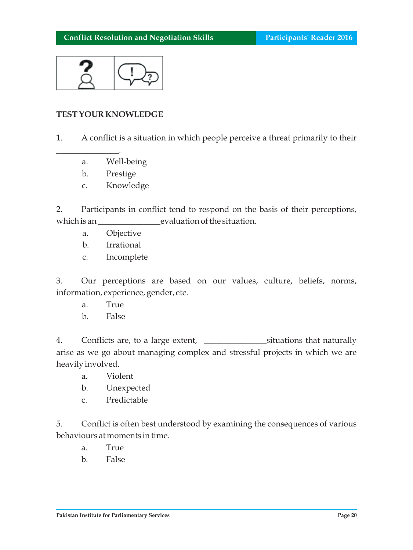

### **TEST YOUR KNOWLEDGE**

1. A conflict is a situation in which people perceive a threat primarily to their

- a. Well-being
- b. Prestige

 $\mathcal{L}_\text{max}$ 

c. Knowledge

2. Participants in conflict tend to respond on the basis of their perceptions, which is an  $\qquad \qquad \text{evaluation of the situation.}$ 

- a. Objective
- b. Irrational
- c. Incomplete

3. Our perceptions are based on our values, culture, beliefs, norms, information, experience, gender, etc.

- a. True
- b. False

4. Conflicts are, to a large extent, <u>entity</u> constructions that naturally arise as we go about managing complex and stressful projects in which we are heavily involved.

- a. Violent
- b. Unexpected
- c. Predictable

5. Conflict is often best understood by examining the consequences of various behaviours at moments in time.

- a. True
- b. False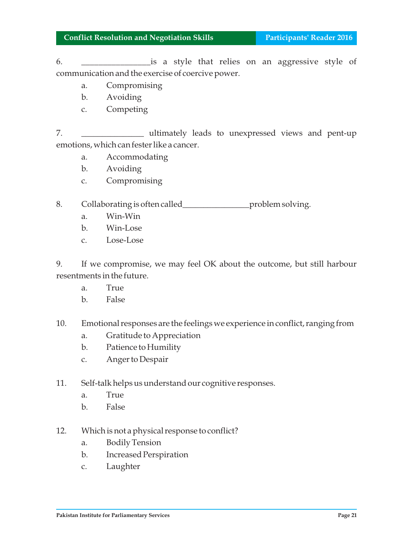6. \_\_\_\_\_\_\_\_\_\_\_\_\_\_\_\_is a style that relies on an aggressive style of communication and the exercise of coercive power.

- a. Compromising
- b. Avoiding
- c. Competing

7. **\_\_\_\_\_\_\_\_\_\_\_\_\_** ultimately leads to unexpressed views and pent-up emotions, which can fester like a cancer.

- a. Accommodating
- b. Avoiding
- c. Compromising
- 8. Collaborating is often called\_\_\_\_\_\_\_\_\_\_\_\_\_\_\_\_\_\_\_\_\_\_problem solving.
	- a. Win-Win
	- b. Win-Lose
	- c. Lose-Lose

9. If we compromise, we may feel OK about the outcome, but still harbour resentments in the future.

- a. True
- b. False
- 10. Emotional responses are the feelings we experience in conflict, ranging from
	- a. Gratitude to Appreciation
	- b. Patience to Humility
	- c. Anger to Despair
- 11. Self-talk helps us understand our cognitive responses.
	- a. True
	- b. False
- 12. Which is not a physical response to conflict?
	- a. Bodily Tension
	- b. Increased Perspiration
	- c. Laughter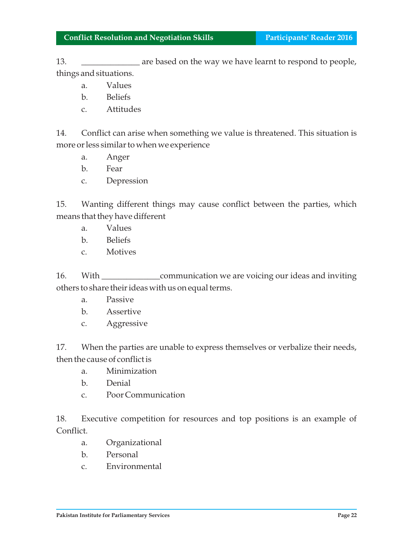13. **the art of the set of the way we have learnt to respond to people,** things and situations.

- a. Values
- b. Beliefs
- c. Attitudes

14. Conflict can arise when something we value is threatened. This situation is more or less similar to when we experience

- a. Anger
- b. Fear
- c. Depression

15. Wanting different things may cause conflict between the parties, which means that they have different

- a. Values
- b. Beliefs
- c. Motives

16. With \_\_\_\_\_\_\_\_\_\_\_\_\_\_\_\_communication we are voicing our ideas and inviting others to share their ideas with us on equal terms.

- a. Passive
- b. Assertive
- c. Aggressive

17. When the parties are unable to express themselves or verbalize their needs, then the cause of conflict is

- a. Minimization
- b. Denial
- c. Poor Communication

18. Executive competition for resources and top positions is an example of Conflict.

- a. Organizational
- b. Personal
- c. Environmental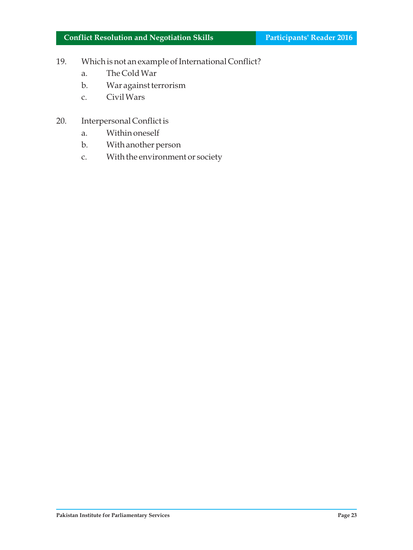- 19. Which is not an example of International Conflict?
	- a. The Cold War
	- b. War against terrorism
	- c. Civil Wars
- 20. Interpersonal Conflict is
	- a. Within oneself
	- b. With another person
	- c. With the environment or society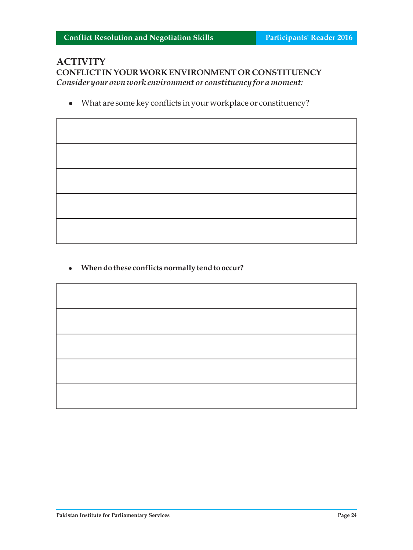# **ACTIVITY CONFLICT IN YOUR WORK ENVIRONMENT OR CONSTITUENCY** *Consider your own work environment or constituency for a moment:*

 $\bullet$  What are some key conflicts in your workplace or constituency?

<sup>l</sup>**When do these conflicts normally tend to occur?**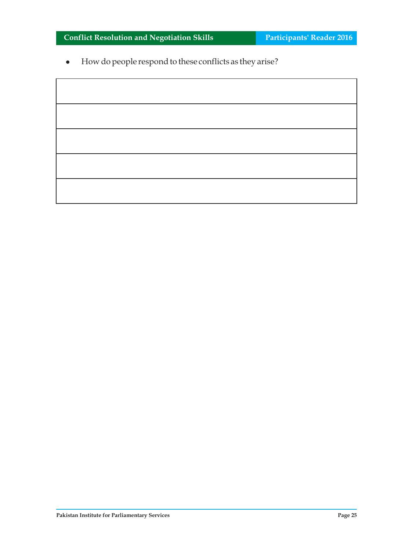$\bullet$  How do people respond to these conflicts as they arise?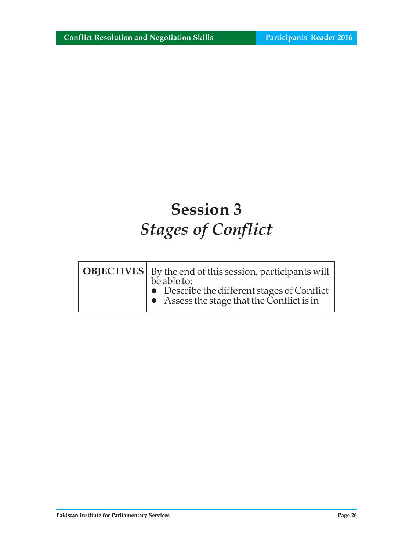# **Session 3** *Stages of Conflict*

| <b>OBJECTIVES</b>   By the end of this session, participants will                                        |
|----------------------------------------------------------------------------------------------------------|
| be able to:<br>• Describe the different stages of Conflict<br>• Assess the stage that the Conflict is in |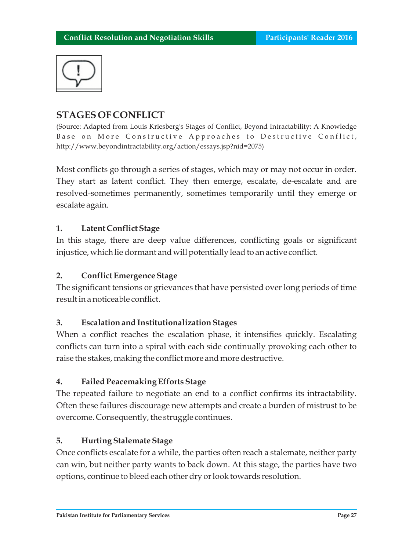

# **STAGES OF CONFLICT**

(Source: Adapted from Louis Kriesberg's Stages of Conflict, Beyond Intractability: A Knowledge Base on More Constructive Approaches to Destructive Conflict, http://www.beyondintractability.org/action/essays.jsp?nid=2075)

Most conflicts go through a series of stages, which may or may not occur in order. They start as latent conflict. They then emerge, escalate, de-escalate and are resolved-sometimes permanently, sometimes temporarily until they emerge or escalate again.

## **1. Latent Conflict Stage**

In this stage, there are deep value differences, conflicting goals or significant injustice, which lie dormant and will potentially lead to an active conflict.

## **2. Conflict Emergence Stage**

The significant tensions or grievances that have persisted over long periods of time result in a noticeable conflict.

## **3. Escalation and Institutionalization Stages**

When a conflict reaches the escalation phase, it intensifies quickly. Escalating conflicts can turn into a spiral with each side continually provoking each other to raise the stakes, making the conflict more and more destructive.

# **4. Failed Peacemaking Efforts Stage**

The repeated failure to negotiate an end to a conflict confirms its intractability. Often these failures discourage new attempts and create a burden of mistrust to be overcome. Consequently, the struggle continues.

# **5. Hurting Stalemate Stage**

Once conflicts escalate for a while, the parties often reach a stalemate, neither party can win, but neither party wants to back down. At this stage, the parties have two options, continue to bleed each other dry or look towards resolution.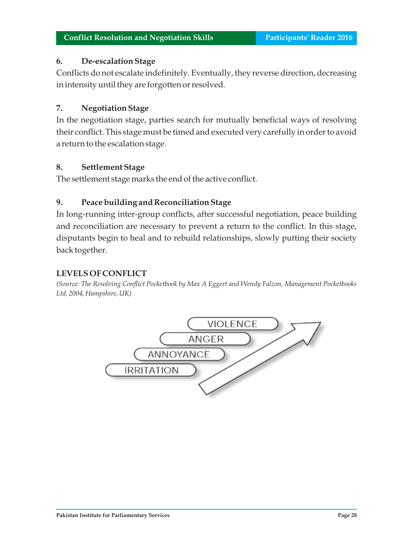## **6. De-escalation Stage**

Conflicts do not escalate indefinitely. Eventually, they reverse direction, decreasing in intensity until they are forgotten or resolved.

## **7. Negotiation Stage**

In the negotiation stage, parties search for mutually beneficial ways of resolving their conflict. This stage must be timed and executed very carefully in order to avoid a return to the escalation stage.

## **8. Settlement Stage**

The settlement stage marks the end of the active conflict.

## **9. Peace building and Reconciliation Stage**

In long-running inter-group conflicts, after successful negotiation, peace building and reconciliation are necessary to prevent a return to the conflict. In this stage, disputants begin to heal and to rebuild relationships, slowly putting their society back together.

## **LEVELS OF CONFLICT**

*(Source: The Resolving Conflict Pocketbook by Max A Eggert and Wendy Falzon, Management Pocketbooks Ltd, 2004, Hampshire, UK)*

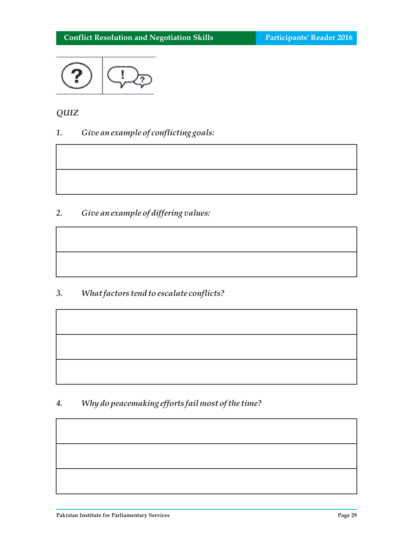

# *QUIZ*

*1. Give an example of conflicting goals:* 

*2. Give an example of differing values:* 

*3. What factors tend to escalate conflicts?* 

*4. Why do peacemaking efforts fail most of the time?*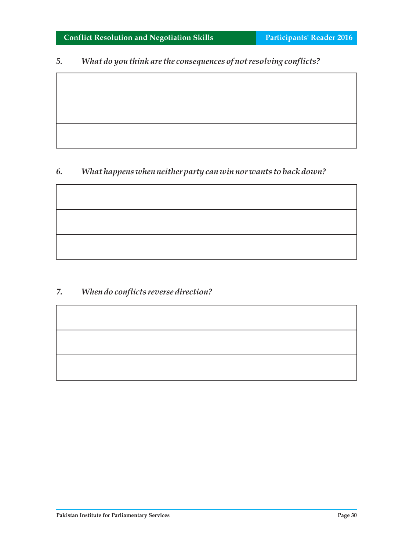## *5. What do you think are the consequences of not resolving conflicts?*

# *6. What happens when neither party can win nor wants to back down?*

# *7. When do conflicts reverse direction?*

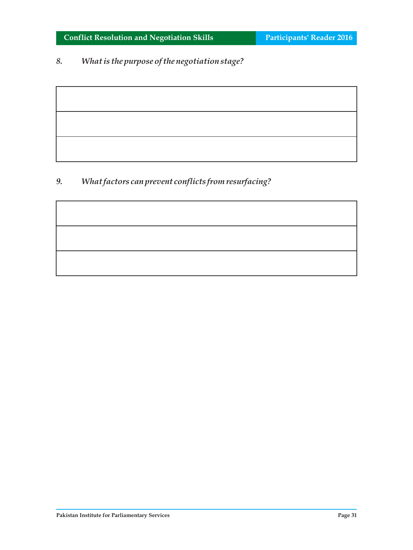# *8. What is the purpose of the negotiation stage?*

# *9. What factors can prevent conflicts from resurfacing?*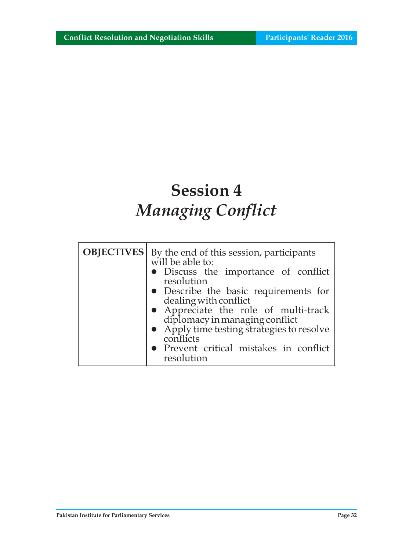# **Session 4** *Managing Conflict*

| <b>OBJECTIVES</b>   By the end of this session, participants<br>will be able to:          |  |  |
|-------------------------------------------------------------------------------------------|--|--|
| • Discuss the importance of conflict<br>resolution                                        |  |  |
| • Describe the basic requirements for<br>dealing with conflict                            |  |  |
| • Appreciate the role of multi-track                                                      |  |  |
| diplomacy in managing conflict<br>• Apply time testing strategies to resolve<br>conflicts |  |  |
| • Prevent critical mistakes in conflict<br>resolution                                     |  |  |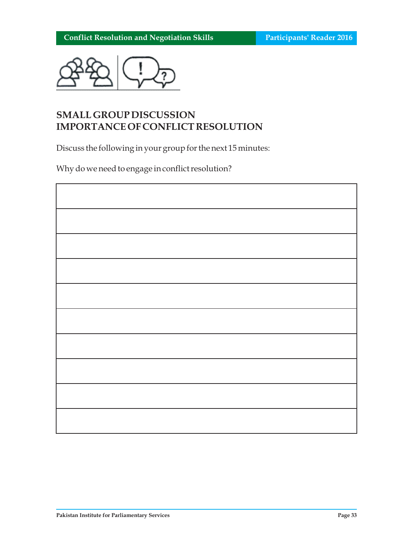

# **SMALL GROUP DISCUSSION IMPORTANCE OF CONFLICT RESOLUTION**

Discuss the following in your group for the next 15 minutes:

Why do we need to engage in conflict resolution?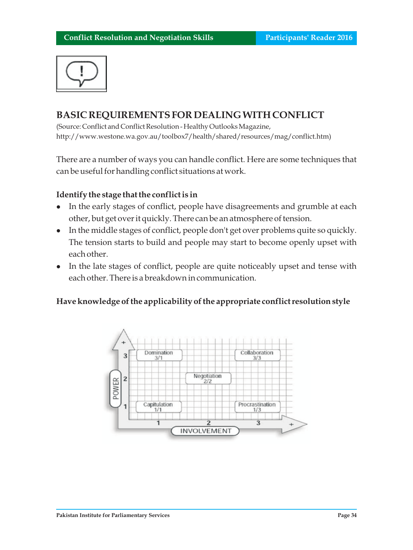

# **BASIC REQUIREMENTS FOR DEALING WITH CONFLICT**

(Source: Conflict and Conflict Resolution - Healthy Outlooks Magazine, http://www.westone.wa.gov.au/toolbox7/health/shared/resources/mag/conflict.htm)

There are a number of ways you can handle conflict. Here are some techniques that can be useful for handling conflict situations at work.

#### **Identify the stage that the conflict is in**

- In the early stages of conflict, people have disagreements and grumble at each other, but get over it quickly. There can be an atmosphere of tension.
- l In the middle stages of conflict, people don't get over problems quite so quickly. The tension starts to build and people may start to become openly upset with each other.
- In the late stages of conflict, people are quite noticeably upset and tense with each other. There is a breakdown in communication.

#### **Have knowledge of the applicability of the appropriate conflict resolution style**

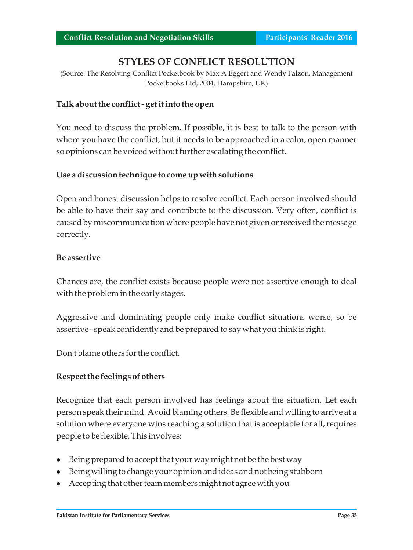# **STYLES OF CONFLICT RESOLUTION**

(Source: The Resolving Conflict Pocketbook by Max A Eggert and Wendy Falzon, Management Pocketbooks Ltd, 2004, Hampshire, UK)

#### **Talk about the conflict - get it into the open**

You need to discuss the problem. If possible, it is best to talk to the person with whom you have the conflict, but it needs to be approached in a calm, open manner so opinions can be voiced without further escalating the conflict.

#### **Use a discussion technique to come up with solutions**

Open and honest discussion helps to resolve conflict. Each person involved should be able to have their say and contribute to the discussion. Very often, conflict is caused by miscommunication where people have not given or received the message correctly.

#### **Be assertive**

Chances are, the conflict exists because people were not assertive enough to deal with the problem in the early stages.

Aggressive and dominating people only make conflict situations worse, so be assertive - speak confidently and be prepared to say what you think is right.

Don't blame others for the conflict.

## **Respect the feelings of others**

Recognize that each person involved has feelings about the situation. Let each person speak their mind. Avoid blaming others. Be flexible and willing to arrive at a solution where everyone wins reaching a solution that is acceptable for all, requires people to be flexible. This involves:

- $\bullet$  Being prepared to accept that your way might not be the best way
- l Being willing to change your opinion and ideas and not being stubborn
- Accepting that other team members might not agree with you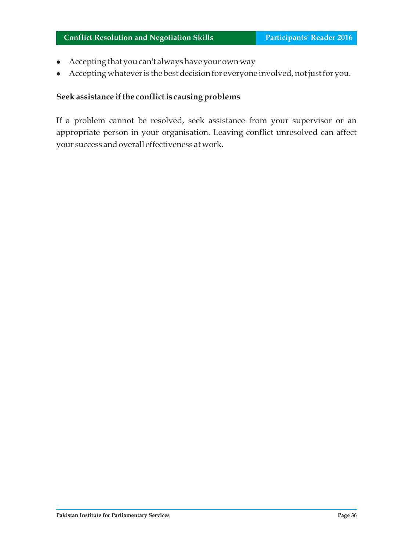- Accepting that you can't always have your own way
- l Accepting whatever is the best decision for everyone involved, not just for you.

## **Seek assistance if the conflict is causing problems**

If a problem cannot be resolved, seek assistance from your supervisor or an appropriate person in your organisation. Leaving conflict unresolved can affect your success and overall effectiveness at work.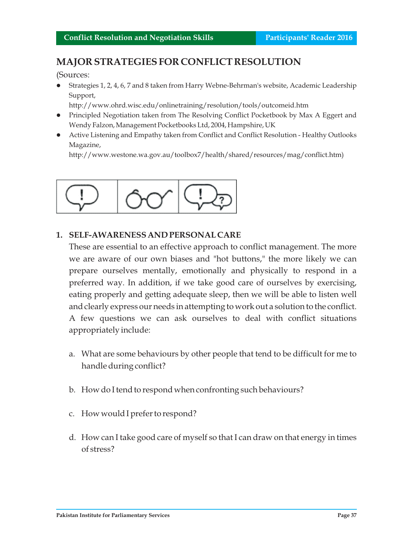# **MAJOR STRATEGIES FOR CONFLICT RESOLUTION**

(Sources:

lStrategies 1, 2, 4, 6, 7 and 8 taken from Harry Webne-Behrman's website, Academic Leadership Support,

http://www.ohrd.wisc.edu/onlinetraining/resolution/tools/outcomeid.htm

- Principled Negotiation taken from The Resolving Conflict Pocketbook by Max A Eggert and Wendy Falzon, Management Pocketbooks Ltd, 2004, Hampshire, UK
- Active Listening and Empathy taken from Conflict and Conflict Resolution Healthy Outlooks Magazine,

http://www.westone.wa.gov.au/toolbox7/health/shared/resources/mag/conflict.htm)



## **1. SELF-AWARENESS AND PERSONAL CARE**

These are essential to an effective approach to conflict management. The more we are aware of our own biases and "hot buttons," the more likely we can prepare ourselves mentally, emotionally and physically to respond in a preferred way. In addition, if we take good care of ourselves by exercising, eating properly and getting adequate sleep, then we will be able to listen well and clearly express our needs in attempting to work out a solution to the conflict. A few questions we can ask ourselves to deal with conflict situations appropriately include:

- a. What are some behaviours by other people that tend to be difficult for me to handle during conflict?
- b. How do I tend to respond when confronting such behaviours?
- c. How would I prefer to respond?
- d. How can I take good care of myself so that I can draw on that energy in times of stress?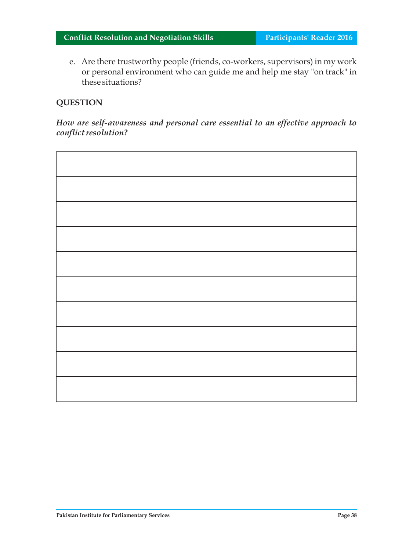e. Are there trustworthy people (friends, co-workers, supervisors) in my work or personal environment who can guide me and help me stay "on track" in these situations?

## **QUESTION**

*How are self-awareness and personal care essential to an effective approach to conflict resolution?*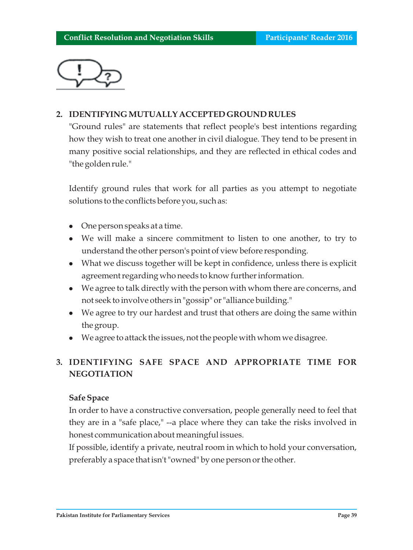

## **2. IDENTIFYING MUTUALLY ACCEPTED GROUND RULES**

"Ground rules" are statements that reflect people's best intentions regarding how they wish to treat one another in civil dialogue. They tend to be present in many positive social relationships, and they are reflected in ethical codes and "the golden rule."

Identify ground rules that work for all parties as you attempt to negotiate solutions to the conflicts before you, such as:

- <sup>l</sup>One person speaks at a time.
- We will make a sincere commitment to listen to one another, to try to understand the other person's point of view before responding.
- What we discuss together will be kept in confidence, unless there is explicit agreement regarding who needs to know further information.
- We agree to talk directly with the person with whom there are concerns, and not seek to involve others in "gossip" or "alliance building."
- We agree to try our hardest and trust that others are doing the same within the group.
- We agree to attack the issues, not the people with whom we disagree.

# **3. IDENTIFYING SAFE SPACE AND APPROPRIATE TIME FOR NEGOTIATION**

#### **Safe Space**

In order to have a constructive conversation, people generally need to feel that they are in a "safe place," --a place where they can take the risks involved in honest communication about meaningful issues.

If possible, identify a private, neutral room in which to hold your conversation, preferably a space that isn't "owned" by one person or the other.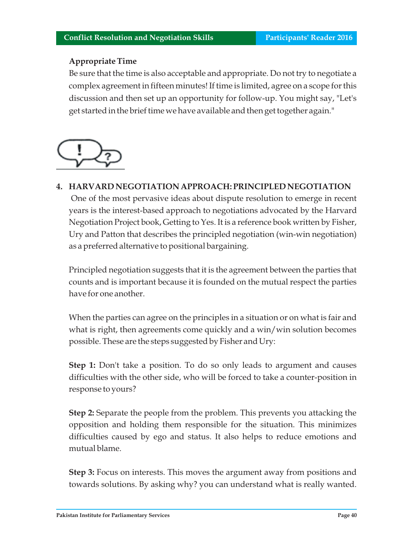## **Appropriate Time**

Be sure that the time is also acceptable and appropriate. Do not try to negotiate a complex agreement in fifteen minutes! If time is limited, agree on a scope for this discussion and then set up an opportunity for follow-up. You might say, "Let's get started in the brief time we have available and then get together again."



**4. HARVARD NEGOTIATION APPROACH: PRINCIPLED NEGOTIATION** One of the most pervasive ideas about dispute resolution to emerge in recent years is the interest-based approach to negotiations advocated by the Harvard Negotiation Project book, Getting to Yes. It is a reference book written by Fisher, Ury and Patton that describes the principled negotiation (win-win negotiation) as a preferred alternative to positional bargaining.

Principled negotiation suggests that it is the agreement between the parties that counts and is important because it is founded on the mutual respect the parties have for one another.

When the parties can agree on the principles in a situation or on what is fair and what is right, then agreements come quickly and a win/win solution becomes possible. These are the steps suggested by Fisher and Ury:

**Step 1:** Don't take a position. To do so only leads to argument and causes difficulties with the other side, who will be forced to take a counter-position in response to yours?

**Step 2:** Separate the people from the problem. This prevents you attacking the opposition and holding them responsible for the situation. This minimizes difficulties caused by ego and status. It also helps to reduce emotions and mutual blame.

**Step 3:** Focus on interests. This moves the argument away from positions and towards solutions. By asking why? you can understand what is really wanted.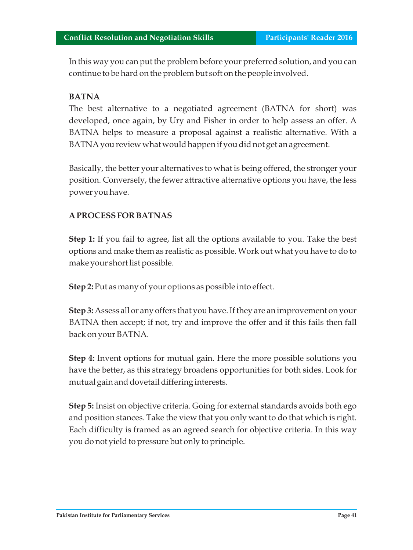In this way you can put the problem before your preferred solution, and you can continue to be hard on the problem but soft on the people involved.

#### **BATNA**

The best alternative to a negotiated agreement (BATNA for short) was developed, once again, by Ury and Fisher in order to help assess an offer. A BATNA helps to measure a proposal against a realistic alternative. With a BATNA you review what would happen if you did not get an agreement.

Basically, the better your alternatives to what is being offered, the stronger your position. Conversely, the fewer attractive alternative options you have, the less power you have.

## **A PROCESS FOR BATNAS**

**Step 1:** If you fail to agree, list all the options available to you. Take the best options and make them as realistic as possible. Work out what you have to do to make your short list possible.

**Step 2:** Put as many of your options as possible into effect.

**Step 3:** Assess all or any offers that you have. If they are an improvement on your BATNA then accept; if not, try and improve the offer and if this fails then fall back on your BATNA.

**Step 4:** Invent options for mutual gain. Here the more possible solutions you have the better, as this strategy broadens opportunities for both sides. Look for mutual gain and dovetail differing interests.

**Step 5:** Insist on objective criteria. Going for external standards avoids both ego and position stances. Take the view that you only want to do that which is right. Each difficulty is framed as an agreed search for objective criteria. In this way you do not yield to pressure but only to principle.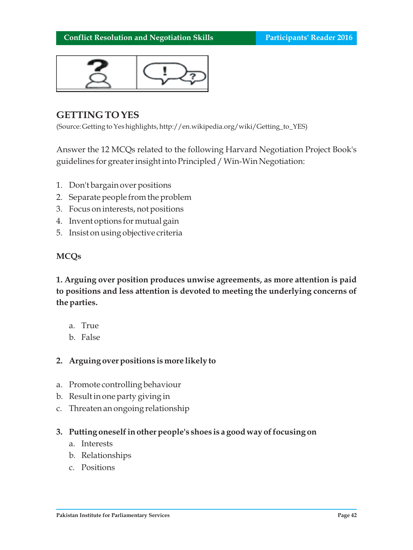

# **GETTING TO YES**

(Source: Getting to Yes highlights, http://en.wikipedia.org/wiki/Getting\_to\_YES)

Answer the 12 MCQs related to the following Harvard Negotiation Project Book's guidelines for greater insight into Principled / Win-Win Negotiation:

- 1. Don't bargain over positions
- 2. Separate people from the problem
- 3. Focus on interests, not positions
- 4. Invent options for mutual gain
- 5. Insist on using objective criteria

#### **MCQs**

**1. Arguing over position produces unwise agreements, as more attention is paid to positions and less attention is devoted to meeting the underlying concerns of the parties.**

- a. True
- b. False

## **2. Arguing over positions is more likely to**

- a. Promote controlling behaviour
- b. Result in one party giving in
- c. Threaten an ongoing relationship
- **3. Putting oneself in other people's shoes is a good way of focusing on**
	- a. Interests
	- b. Relationships
	- c. Positions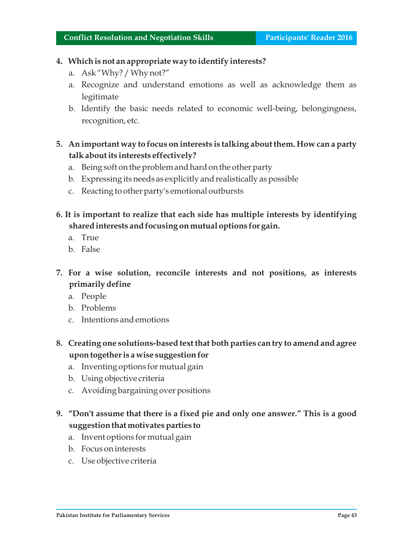## **4. Which is not an appropriate way to identify interests?**

- a. Ask "Why? / Why not?"
- a. Recognize and understand emotions as well as acknowledge them as legitimate
- b. Identify the basic needs related to economic well-being, belongingness, recognition, etc.
- **5. An important way to focus on interests is talking about them. How can a party talk about its interests effectively?**
	- a. Being soft on the problem and hard on the other party
	- b. Expressing its needs as explicitly and realistically as possible
	- c. Reacting to other party's emotional outbursts
- **6. It is important to realize that each side has multiple interests by identifying shared interests and focusing on mutual options for gain.**
	- a. True
	- b. False
- **7. For a wise solution, reconcile interests and not positions, as interests primarily define**
	- a. People
	- b. Problems
	- c. Intentions and emotions
- **8. Creating one solutions-based text that both parties can try to amend and agree upon together is a wise suggestion for**
	- a. Inventing options for mutual gain
	- b. Using objective criteria
	- c. Avoiding bargaining over positions
- **9. "Don't assume that there is a fixed pie and only one answer." This is a good suggestion that motivates parties to** 
	- a. Invent options for mutual gain
	- b. Focus on interests
	- c. Use objective criteria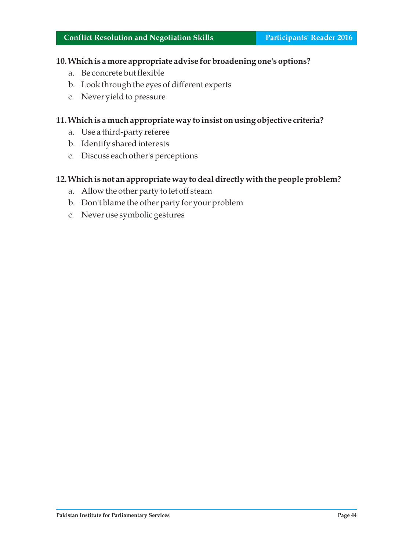## **10. Which is a more appropriate advise for broadening one's options?**

- a. Be concrete but flexible
- b. Look through the eyes of different experts
- c. Never yield to pressure

#### **11. Which is a much appropriate way to insist on using objective criteria?**

- a. Use a third-party referee
- b. Identify shared interests
- c. Discuss each other's perceptions

#### **12. Which is not an appropriate way to deal directly with the people problem?**

- a. Allow the other party to let off steam
- b. Don't blame the other party for your problem
- c. Never use symbolic gestures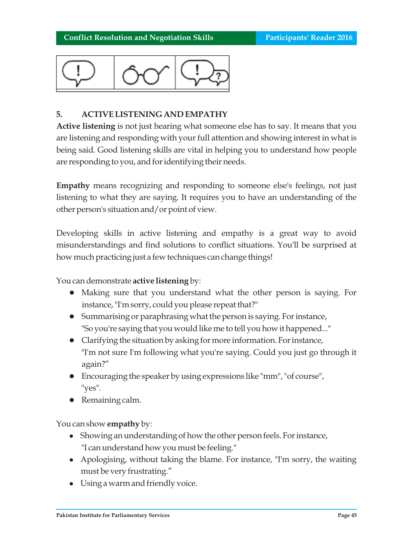

# **5. ACTIVE LISTENING AND EMPATHY**

**Active listening** is not just hearing what someone else has to say. It means that you are listening and responding with your full attention and showing interest in what is being said. Good listening skills are vital in helping you to understand how people are responding to you, and for identifying their needs.

**Empathy** means recognizing and responding to someone else's feelings, not just listening to what they are saying. It requires you to have an understanding of the other person's situation and/or point of view.

Developing skills in active listening and empathy is a great way to avoid misunderstandings and find solutions to conflict situations. You'll be surprised at how much practicing just a few techniques can change things!

You can demonstrate **active listening** by:

- Making sure that you understand what the other person is saying. For instance, "I'm sorry, could you please repeat that?"
- **•** Summarising or paraphrasing what the person is saying. For instance, "So you're saying that you would like me to tell you how it happened..."
- l Clarifying the situation by asking for more information. For instance, "I'm not sure I'm following what you're saying. Could you just go through it again?"
- l Encouraging the speaker by using expressions like "mm", "of course", "yes".
- Remaining calm.

You can show **empathy** by:

- l Showing an understanding of how the other person feels. For instance, "I can understand how you must be feeling."
- Apologising, without taking the blame. For instance, "I'm sorry, the waiting must be very frustrating."
- Using a warm and friendly voice.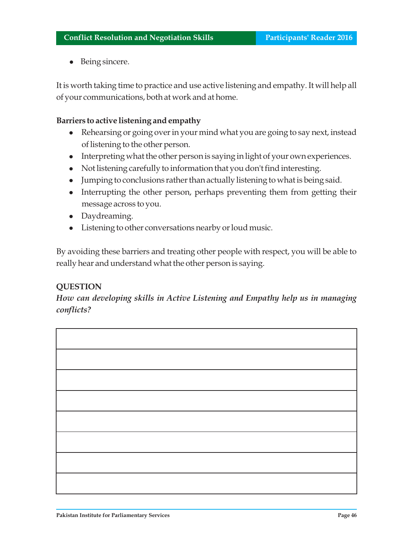• Being sincere.

It is worth taking time to practice and use active listening and empathy. It will help all of your communications, both at work and at home.

#### **Barriers to active listening and empathy**

- Rehearsing or going over in your mind what you are going to say next, instead of listening to the other person.
- l Interpreting what the other person is saying in light of your own experiences.
- Not listening carefully to information that you don't find interesting.
- Jumping to conclusions rather than actually listening to what is being said.
- Interrupting the other person, perhaps preventing them from getting their message across to you.
- Daydreaming.
- Listening to other conversations nearby or loud music.

By avoiding these barriers and treating other people with respect, you will be able to really hear and understand what the other person is saying.

#### **QUESTION**

*How can developing skills in Active Listening and Empathy help us in managing conflicts?*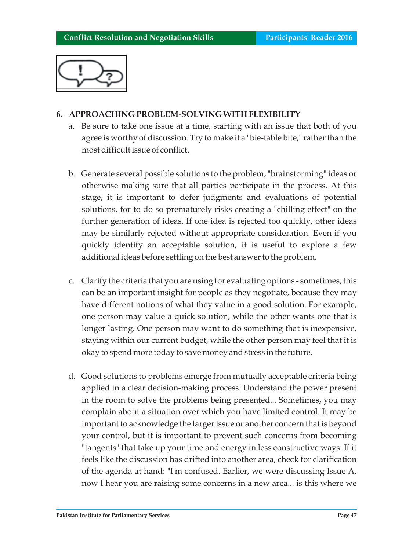

## **6. APPROACHING PROBLEM-SOLVING WITH FLEXIBILITY**

- a. Be sure to take one issue at a time, starting with an issue that both of you agree is worthy of discussion. Try to make it a "bie-table bite," rather than the most difficult issue of conflict.
- b. Generate several possible solutions to the problem, "brainstorming" ideas or otherwise making sure that all parties participate in the process. At this stage, it is important to defer judgments and evaluations of potential solutions, for to do so prematurely risks creating a "chilling effect" on the further generation of ideas. If one idea is rejected too quickly, other ideas may be similarly rejected without appropriate consideration. Even if you quickly identify an acceptable solution, it is useful to explore a few additional ideas before settling on the best answer to the problem.
- c. Clarify the criteria that you are using for evaluating options sometimes, this can be an important insight for people as they negotiate, because they may have different notions of what they value in a good solution. For example, one person may value a quick solution, while the other wants one that is longer lasting. One person may want to do something that is inexpensive, staying within our current budget, while the other person may feel that it is okay to spend more today to save money and stress in the future.
- d. Good solutions to problems emerge from mutually acceptable criteria being applied in a clear decision-making process. Understand the power present in the room to solve the problems being presented... Sometimes, you may complain about a situation over which you have limited control. It may be important to acknowledge the larger issue or another concern that is beyond your control, but it is important to prevent such concerns from becoming "tangents" that take up your time and energy in less constructive ways. If it feels like the discussion has drifted into another area, check for clarification of the agenda at hand: "I'm confused. Earlier, we were discussing Issue A, now I hear you are raising some concerns in a new area... is this where we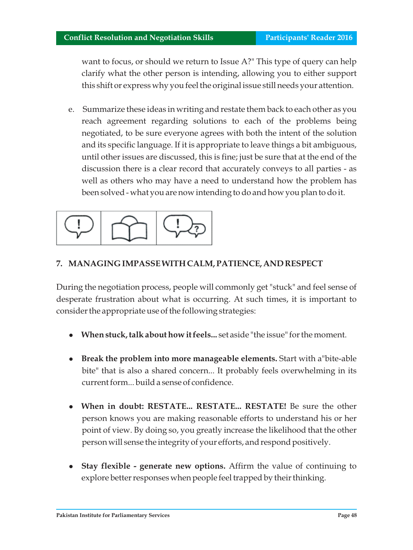want to focus, or should we return to Issue A?" This type of query can help clarify what the other person is intending, allowing you to either support this shift or express why you feel the original issue still needs your attention.

e. Summarize these ideas in writing and restate them back to each other as you reach agreement regarding solutions to each of the problems being negotiated, to be sure everyone agrees with both the intent of the solution and its specific language. If it is appropriate to leave things a bit ambiguous, until other issues are discussed, this is fine; just be sure that at the end of the discussion there is a clear record that accurately conveys to all parties - as well as others who may have a need to understand how the problem has been solved - what you are now intending to do and how you plan to do it.



# **7. MANAGING IMPASSE WITH CALM, PATIENCE, AND RESPECT**

During the negotiation process, people will commonly get "stuck" and feel sense of desperate frustration about what is occurring. At such times, it is important to consider the appropriate use of the following strategies:

- <sup>l</sup>**When stuck, talk about how it feels...** set aside "the issue" for the moment.
- **Break the problem into more manageable elements.** Start with a "bite-able" bite" that is also a shared concern... It probably feels overwhelming in its current form... build a sense of confidence.
- <sup>l</sup>**When in doubt: RESTATE... RESTATE... RESTATE!** Be sure the other person knows you are making reasonable efforts to understand his or her point of view. By doing so, you greatly increase the likelihood that the other person will sense the integrity of your efforts, and respond positively.
- **Stay flexible generate new options.** Affirm the value of continuing to explore better responses when people feel trapped by their thinking.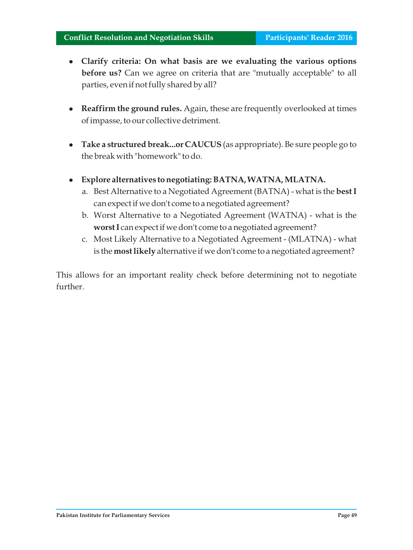- <sup>l</sup>**Clarify criteria: On what basis are we evaluating the various options before us?** Can we agree on criteria that are "mutually acceptable" to all parties, even if not fully shared by all?
- **Reaffirm the ground rules.** Again, these are frequently overlooked at times of impasse, to our collective detriment.
- **Take a structured break...or CAUCUS** (as appropriate). Be sure people go to the break with "homework" to do.
- <sup>l</sup>**Explore alternatives to negotiating: BATNA, WATNA, MLATNA.**
	- a. Best Alternative to a Negotiated Agreement (BATNA) what is the **best I**  can expect if we don't come to a negotiated agreement?
	- b. Worst Alternative to a Negotiated Agreement (WATNA) what is the **worst I** can expect if we don't come to a negotiated agreement?
	- c. Most Likely Alternative to a Negotiated Agreement (MLATNA) what is the **most likely** alternative if we don't come to a negotiated agreement?

This allows for an important reality check before determining not to negotiate further.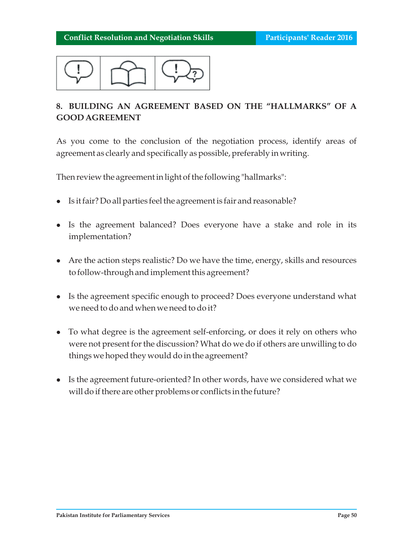

# **8. BUILDING AN AGREEMENT BASED ON THE "HALLMARKS" OF A GOOD AGREEMENT**

As you come to the conclusion of the negotiation process, identify areas of agreement as clearly and specifically as possible, preferably in writing.

Then review the agreement in light of the following "hallmarks":

- Is it fair? Do all parties feel the agreement is fair and reasonable?
- Is the agreement balanced? Does everyone have a stake and role in its implementation?
- $\bullet$  Are the action steps realistic? Do we have the time, energy, skills and resources to follow-through and implement this agreement?
- Is the agreement specific enough to proceed? Does everyone understand what we need to do and when we need to do it?
- To what degree is the agreement self-enforcing, or does it rely on others who were not present for the discussion? What do we do if others are unwilling to do things we hoped they would do in the agreement?
- Is the agreement future-oriented? In other words, have we considered what we will do if there are other problems or conflicts in the future?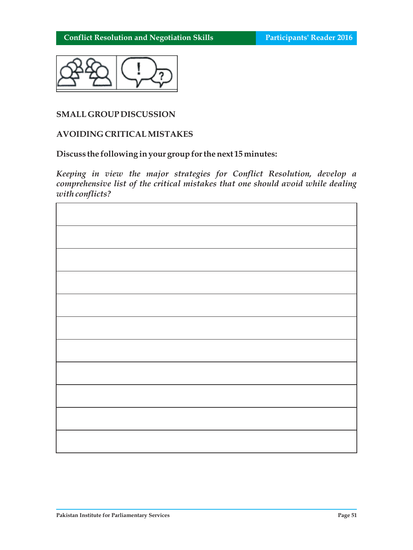

#### **SMALL GROUP DISCUSSION**

#### **AVOIDING CRITICAL MISTAKES**

#### **Discuss the following in your group for the next 15 minutes:**

*Keeping in view the major strategies for Conflict Resolution, develop a comprehensive list of the critical mistakes that one should avoid while dealing with conflicts?*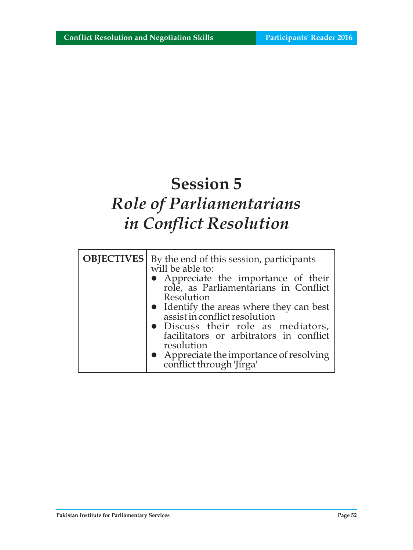# **Session 5** *Role of Parliamentarians in Conflict Resolution*

| <b>OBJECTIVES</b> | By the end of this session, participants<br>will be able to:<br>• Appreciate the importance of their role, as Parliamentarians in Conflict<br>Resolution<br>• Identify the areas where they can best<br>assist in conflict resolution<br>· Discuss their role as mediators,<br>facilitators or arbitrators in conflict |
|-------------------|------------------------------------------------------------------------------------------------------------------------------------------------------------------------------------------------------------------------------------------------------------------------------------------------------------------------|
|                   | resolution<br>• Appreciate the importance of resolving<br>conflict through 'Jirga'                                                                                                                                                                                                                                     |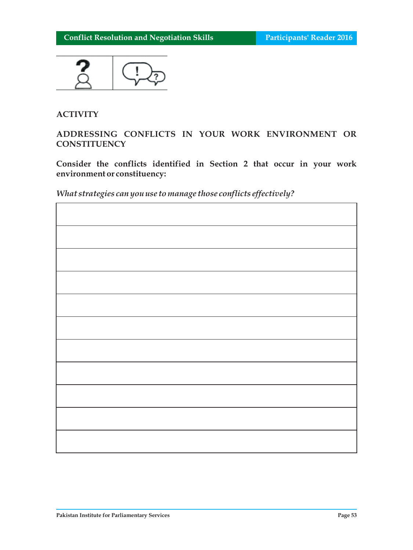

## **ACTIVITY**

## **ADDRESSING CONFLICTS IN YOUR WORK ENVIRONMENT OR CONSTITUENCY**

**Consider the conflicts identified in Section 2 that occur in your work environment or constituency:**

*What strategies can you use to manage those conflicts effectively?*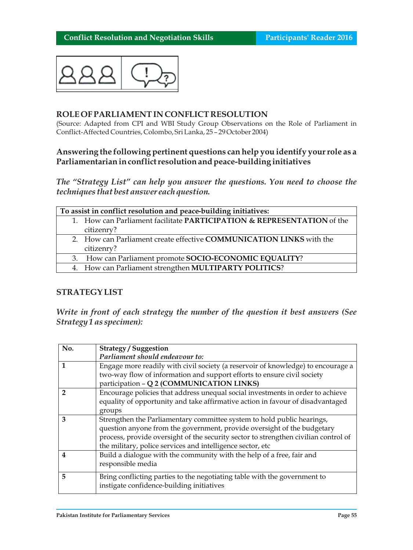

#### **ROLE OF PARLIAMENT IN CONFLICT RESOLUTION**

(Source: Adapted from CPI and WBI Study Group Observations on the Role of Parliament in Conflict-Affected Countries, Colombo, Sri Lanka, 25 – 29 October 2004)

#### **Answering the following pertinent questions can help you identify your role as a Parliamentarian in conflict resolution and peace-building initiatives**

*The "Strategy List" can help you answer the questions. You need to choose the techniques that best answer each question.*

| To assist in conflict resolution and peace-building initiatives: |                                                                            |  |  |
|------------------------------------------------------------------|----------------------------------------------------------------------------|--|--|
|                                                                  | 1. How can Parliament facilitate PARTICIPATION & REPRESENTATION of the     |  |  |
|                                                                  | citizenry?                                                                 |  |  |
|                                                                  | 2. How can Parliament create effective <b>COMMUNICATION LINKS</b> with the |  |  |
|                                                                  | citizenry?                                                                 |  |  |
|                                                                  | 3. How can Parliament promote SOCIO-ECONOMIC EQUALITY?                     |  |  |
|                                                                  | 4. How can Parliament strengthen MULTIPARTY POLITICS?                      |  |  |

#### **STRATEGY LIST**

*Write in front of each strategy the number of the question it best answers (See Strategy 1 as specimen):*

| No.              | <b>Strategy / Suggestion</b>                                                        |  |
|------------------|-------------------------------------------------------------------------------------|--|
|                  | Parliament should endeavour to:                                                     |  |
|                  | Engage more readily with civil society (a reservoir of knowledge) to encourage a    |  |
|                  | two-way flow of information and support efforts to ensure civil society             |  |
|                  | participation - Q 2 (COMMUNICATION LINKS)                                           |  |
| 2                | Encourage policies that address unequal social investments in order to achieve      |  |
|                  | equality of opportunity and take affirmative action in favour of disadvantaged      |  |
|                  | groups                                                                              |  |
| 3                | Strengthen the Parliamentary committee system to hold public hearings,              |  |
|                  | question anyone from the government, provide oversight of the budgetary             |  |
|                  | process, provide oversight of the security sector to strengthen civilian control of |  |
|                  | the military, police services and intelligence sector, etc                          |  |
| $\boldsymbol{4}$ | Build a dialogue with the community with the help of a free, fair and               |  |
|                  | responsible media                                                                   |  |
| 5                | Bring conflicting parties to the negotiating table with the government to           |  |
|                  | instigate confidence-building initiatives                                           |  |
|                  |                                                                                     |  |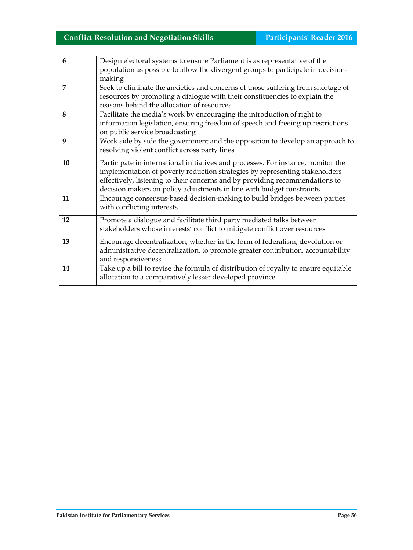| 6  | Design electoral systems to ensure Parliament is as representative of the           |
|----|-------------------------------------------------------------------------------------|
|    | population as possible to allow the divergent groups to participate in decision-    |
|    | making                                                                              |
| 7  | Seek to eliminate the anxieties and concerns of those suffering from shortage of    |
|    | resources by promoting a dialogue with their constituencies to explain the          |
|    | reasons behind the allocation of resources                                          |
| 8  | Facilitate the media's work by encouraging the introduction of right to             |
|    | information legislation, ensuring freedom of speech and freeing up restrictions     |
|    | on public service broadcasting                                                      |
| 9  | Work side by side the government and the opposition to develop an approach to       |
|    | resolving violent conflict across party lines                                       |
| 10 |                                                                                     |
|    | Participate in international initiatives and processes. For instance, monitor the   |
|    | implementation of poverty reduction strategies by representing stakeholders         |
|    | effectively, listening to their concerns and by providing recommendations to        |
|    | decision makers on policy adjustments in line with budget constraints               |
| 11 | Encourage consensus-based decision-making to build bridges between parties          |
|    | with conflicting interests                                                          |
| 12 | Promote a dialogue and facilitate third party mediated talks between                |
|    | stakeholders whose interests' conflict to mitigate conflict over resources          |
|    |                                                                                     |
| 13 | Encourage decentralization, whether in the form of federalism, devolution or        |
|    | administrative decentralization, to promote greater contribution, accountability    |
|    | and responsiveness                                                                  |
| 14 | Take up a bill to revise the formula of distribution of royalty to ensure equitable |
|    | allocation to a comparatively lesser developed province                             |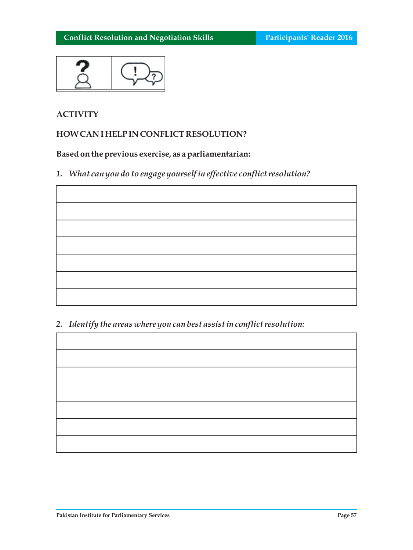

## **ACTIVITY**

## **HOW CAN I HELP IN CONFLICT RESOLUTION?**

# **Based on the previous exercise, as a parliamentarian:**

*1. What can you do to engage yourself in effective conflict resolution?*

## *2. Identify the areas where you can best assist in conflict resolution:*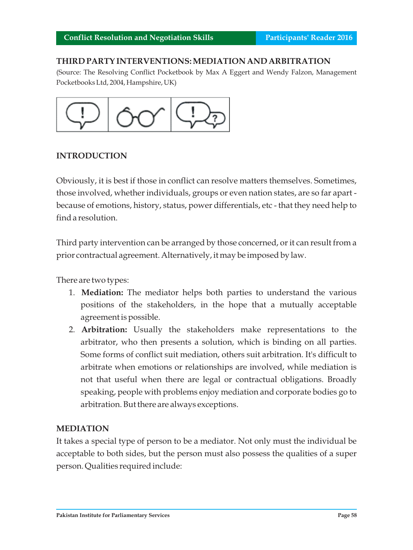#### **THIRD PARTY INTERVENTIONS: MEDIATION AND ARBITRATION**

(Source: The Resolving Conflict Pocketbook by Max A Eggert and Wendy Falzon, Management Pocketbooks Ltd, 2004, Hampshire, UK)



#### **INTRODUCTION**

Obviously, it is best if those in conflict can resolve matters themselves. Sometimes, those involved, whether individuals, groups or even nation states, are so far apart because of emotions, history, status, power differentials, etc - that they need help to find a resolution.

Third party intervention can be arranged by those concerned, or it can result from a prior contractual agreement. Alternatively, it may be imposed by law.

There are two types:

- 1. **Mediation:** The mediator helps both parties to understand the various positions of the stakeholders, in the hope that a mutually acceptable agreement is possible.
- 2. **Arbitration:** Usually the stakeholders make representations to the arbitrator, who then presents a solution, which is binding on all parties. Some forms of conflict suit mediation, others suit arbitration. It's difficult to arbitrate when emotions or relationships are involved, while mediation is not that useful when there are legal or contractual obligations. Broadly speaking, people with problems enjoy mediation and corporate bodies go to arbitration. But there are always exceptions.

#### **MEDIATION**

It takes a special type of person to be a mediator. Not only must the individual be acceptable to both sides, but the person must also possess the qualities of a super person. Qualities required include: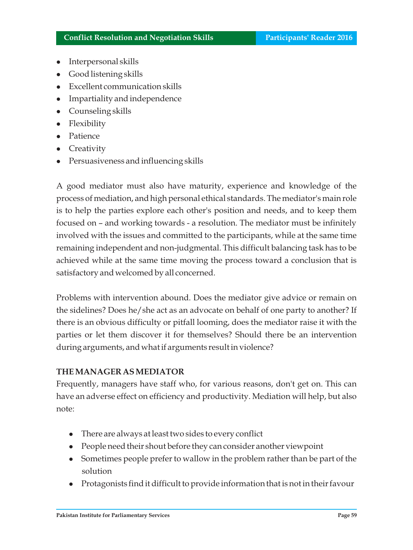- l Interpersonal skills
- Good listening skills
- Excellent communication skills
- l Impartiality and independence
- Counseling skills
- Flexibility
- Patience
- Creativity
- l Persuasiveness and influencing skills

A good mediator must also have maturity, experience and knowledge of the process of mediation, and high personal ethical standards. The mediator's main role is to help the parties explore each other's position and needs, and to keep them focused on – and working towards - a resolution. The mediator must be infinitely involved with the issues and committed to the participants, while at the same time remaining independent and non-judgmental. This difficult balancing task has to be achieved while at the same time moving the process toward a conclusion that is satisfactory and welcomed by all concerned.

Problems with intervention abound. Does the mediator give advice or remain on the sidelines? Does he/she act as an advocate on behalf of one party to another? If there is an obvious difficulty or pitfall looming, does the mediator raise it with the parties or let them discover it for themselves? Should there be an intervention during arguments, and what if arguments result in violence?

## **THE MANAGER AS MEDIATOR**

Frequently, managers have staff who, for various reasons, don't get on. This can have an adverse effect on efficiency and productivity. Mediation will help, but also note:

- $\bullet$  There are always at least two sides to every conflict
- l People need their shout before they can consider another viewpoint
- Sometimes people prefer to wallow in the problem rather than be part of the solution
- l Protagonists find it difficult to provide information that is not in their favour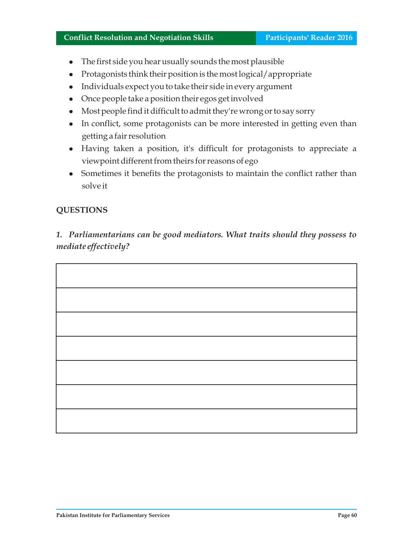- $\bullet$  The first side you hear usually sounds the most plausible
- l Protagonists think their position is the most logical/appropriate
- l Individuals expect you to take their side in every argument
- Once people take a position their egos get involved
- l Most people find it difficult to admit they're wrong or to say sorry
- In conflict, some protagonists can be more interested in getting even than getting a fair resolution
- Having taken a position, it's difficult for protagonists to appreciate a viewpoint different from theirs for reasons of ego
- Sometimes it benefits the protagonists to maintain the conflict rather than solve it

# **QUESTIONS**

*1. Parliamentarians can be good mediators. What traits should they possess to mediate effectively?* 

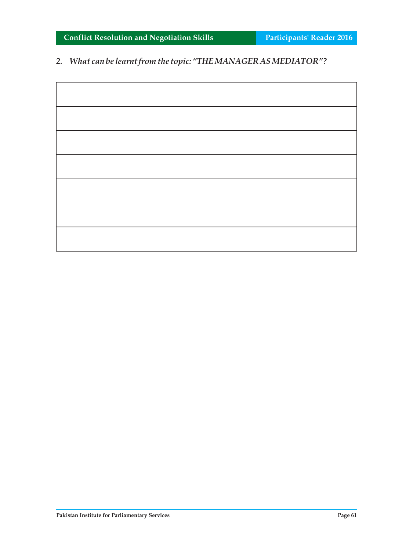**Conflict Resolution and Negotiation Skills <b>Participants' Reader 2016** 

*2. What can be learnt from the topic: "THE MANAGER AS MEDIATOR"?*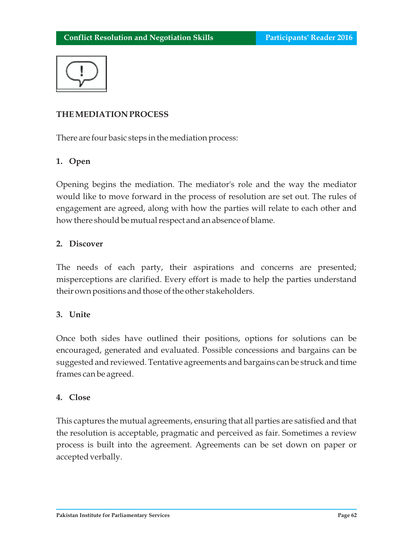

# **THE MEDIATION PROCESS**

There are four basic steps in the mediation process:

# **1. Open**

Opening begins the mediation. The mediator's role and the way the mediator would like to move forward in the process of resolution are set out. The rules of engagement are agreed, along with how the parties will relate to each other and how there should be mutual respect and an absence of blame.

#### **2. Discover**

The needs of each party, their aspirations and concerns are presented; misperceptions are clarified. Every effort is made to help the parties understand their own positions and those of the other stakeholders.

## **3. Unite**

Once both sides have outlined their positions, options for solutions can be encouraged, generated and evaluated. Possible concessions and bargains can be suggested and reviewed. Tentative agreements and bargains can be struck and time frames can be agreed.

## **4. Close**

This captures the mutual agreements, ensuring that all parties are satisfied and that the resolution is acceptable, pragmatic and perceived as fair. Sometimes a review process is built into the agreement. Agreements can be set down on paper or accepted verbally.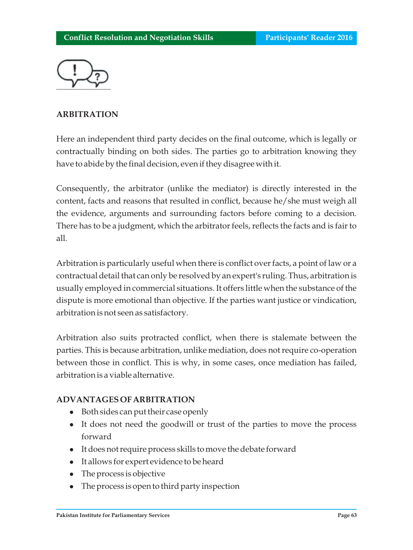

# **ARBITRATION**

Here an independent third party decides on the final outcome, which is legally or contractually binding on both sides. The parties go to arbitration knowing they have to abide by the final decision, even if they disagree with it.

Consequently, the arbitrator (unlike the mediator) is directly interested in the content, facts and reasons that resulted in conflict, because he/she must weigh all the evidence, arguments and surrounding factors before coming to a decision. There has to be a judgment, which the arbitrator feels, reflects the facts and is fair to all.

Arbitration is particularly useful when there is conflict over facts, a point of law or a contractual detail that can only be resolved by an expert's ruling. Thus, arbitration is usually employed in commercial situations. It offers little when the substance of the dispute is more emotional than objective. If the parties want justice or vindication, arbitration is not seen as satisfactory.

Arbitration also suits protracted conflict, when there is stalemate between the parties. This is because arbitration, unlike mediation, does not require co-operation between those in conflict. This is why, in some cases, once mediation has failed, arbitration is a viable alternative.

## **ADVANTAGES OF ARBITRATION**

- Both sides can put their case openly
- It does not need the goodwill or trust of the parties to move the process forward
- l It does not require process skills to move the debate forward
- l It allows for expert evidence to be heard
- The process is objective
- The process is open to third party inspection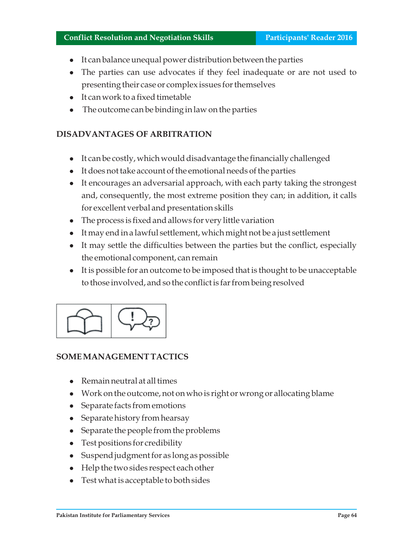#### **Conflict Resolution and Negotiation Skills Participants' Reader 2016**

- It can balance unequal power distribution between the parties
- The parties can use advocates if they feel inadequate or are not used to presenting their case or complex issues for themselves
- l It can work to a fixed timetable
- The outcome can be binding in law on the parties

# **DISADVANTAGES OF ARBITRATION**

- It can be costly, which would disadvantage the financially challenged
- l It does not take account of the emotional needs of the parties
- l It encourages an adversarial approach, with each party taking the strongest and, consequently, the most extreme position they can; in addition, it calls for excellent verbal and presentation skills
- The process is fixed and allows for very little variation
- l It may end in a lawful settlement, which might not be a just settlement
- l It may settle the difficulties between the parties but the conflict, especially the emotional component, can remain
- l It is possible for an outcome to be imposed that is thought to be unacceptable to those involved, and so the conflict is far from being resolved



## **SOME MANAGEMENT TACTICS**

- $\bullet$  Remain neutral at all times
- l Work on the outcome, not on who is right or wrong or allocating blame
- Separate facts from emotions
- Separate history from hearsay
- Separate the people from the problems
- Test positions for credibility
- l Suspend judgment for as long as possible
- Help the two sides respect each other
- l Test what is acceptable to both sides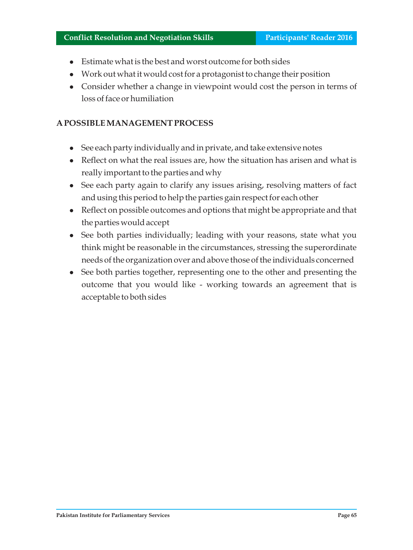- <sup>l</sup>Estimate what is the best and worst outcome for both sides
- l Work out what it would cost for a protagonist to change their position
- Consider whether a change in viewpoint would cost the person in terms of loss of face or humiliation

#### **A POSSIBLE MANAGEMENT PROCESS**

- See each party individually and in private, and take extensive notes
- Reflect on what the real issues are, how the situation has arisen and what is really important to the parties and why
- See each party again to clarify any issues arising, resolving matters of fact and using this period to help the parties gain respect for each other
- Reflect on possible outcomes and options that might be appropriate and that the parties would accept
- See both parties individually; leading with your reasons, state what you think might be reasonable in the circumstances, stressing the superordinate needs of the organization over and above those of the individuals concerned
- See both parties together, representing one to the other and presenting the outcome that you would like - working towards an agreement that is acceptable to both sides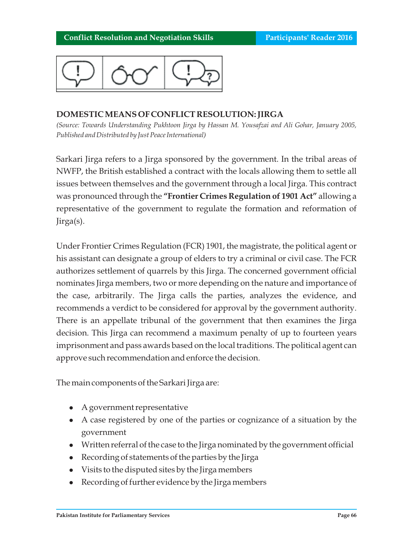

## **DOMESTIC MEANS OF CONFLICT RESOLUTION: JIRGA**

*(Source: Towards Understanding Pukhtoon Jirga by Hassan M. Yousafzai and Ali Gohar, January 2005, Published and Distributed by Just Peace International)*

Sarkari Jirga refers to a Jirga sponsored by the government. In the tribal areas of NWFP, the British established a contract with the locals allowing them to settle all issues between themselves and the government through a local Jirga. This contract was pronounced through the **"Frontier Crimes Regulation of 1901 Act"** allowing a representative of the government to regulate the formation and reformation of Jirga(s).

Under Frontier Crimes Regulation (FCR) 1901, the magistrate, the political agent or his assistant can designate a group of elders to try a criminal or civil case. The FCR authorizes settlement of quarrels by this Jirga. The concerned government official nominates Jirga members, two or more depending on the nature and importance of the case, arbitrarily. The Jirga calls the parties, analyzes the evidence, and recommends a verdict to be considered for approval by the government authority. There is an appellate tribunal of the government that then examines the Jirga decision. This Jirga can recommend a maximum penalty of up to fourteen years imprisonment and pass awards based on the local traditions. The political agent can approve such recommendation and enforce the decision.

The main components of the Sarkari Jirga are:

- <sup>l</sup>A government representative
- A case registered by one of the parties or cognizance of a situation by the government
- l Written referral of the case to the Jirga nominated by the government official
- Recording of statements of the parties by the Jirga
- Visits to the disputed sites by the Jirga members
- Recording of further evidence by the Jirga members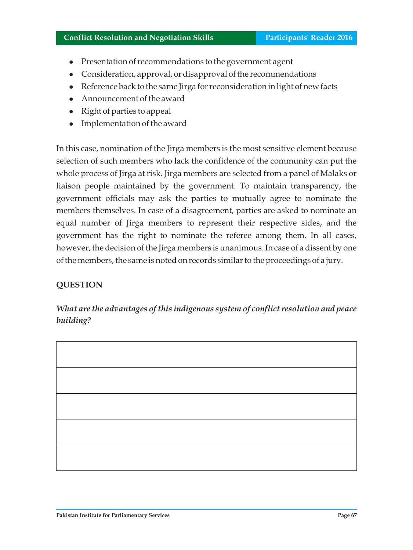#### **Conflict Resolution and Negotiation Skills <b>Participants' Reader 2016**

- Presentation of recommendations to the government agent
- Consideration, approval, or disapproval of the recommendations
- l Reference back to the same Jirga for reconsideration in light of new facts
- Announcement of the award
- Right of parties to appeal
- l Implementation of the award

In this case, nomination of the Jirga members is the most sensitive element because selection of such members who lack the confidence of the community can put the whole process of Jirga at risk. Jirga members are selected from a panel of Malaks or liaison people maintained by the government. To maintain transparency, the government officials may ask the parties to mutually agree to nominate the members themselves. In case of a disagreement, parties are asked to nominate an equal number of Jirga members to represent their respective sides, and the government has the right to nominate the referee among them. In all cases, however, the decision of the Jirga members is unanimous. In case of a dissent by one of the members, the same is noted on records similar to the proceedings of a jury.

# **QUESTION**

*What are the advantages of this indigenous system of conflict resolution and peace building?*

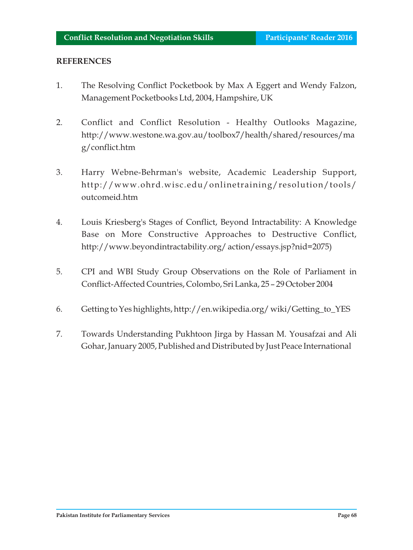#### **REFERENCES**

- 1. The Resolving Conflict Pocketbook by Max A Eggert and Wendy Falzon, Management Pocketbooks Ltd, 2004, Hampshire, UK
- 2. Conflict and Conflict Resolution Healthy Outlooks Magazine, http://www.westone.wa.gov.au/toolbox7/health/shared/resources/ma g/conflict.htm
- 3. Harry Webne-Behrman's website, Academic Leadership Support, http://www.ohrd.wisc.edu/onlinetraining/resolution/tools/ outcomeid.htm
- 4. Louis Kriesberg's Stages of Conflict, Beyond Intractability: A Knowledge Base on More Constructive Approaches to Destructive Conflict, http://www.beyondintractability.org/ action/essays.jsp?nid=2075)
- 5. CPI and WBI Study Group Observations on the Role of Parliament in Conflict-Affected Countries, Colombo, Sri Lanka, 25 – 29 October 2004
- 6. Getting to Yes highlights, http://en.wikipedia.org/ wiki/Getting\_to\_YES
- 7. Towards Understanding Pukhtoon Jirga by Hassan M. Yousafzai and Ali Gohar, January 2005, Published and Distributed by Just Peace International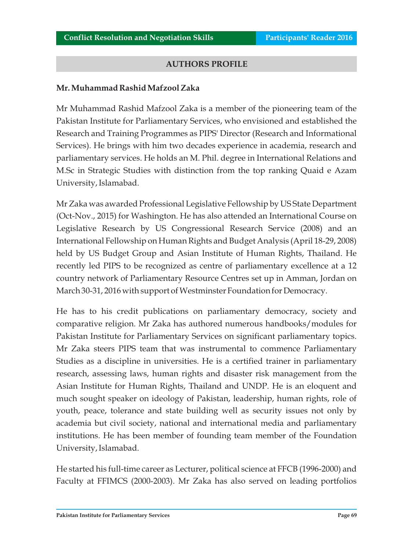#### **AUTHORS PROFILE**

#### **Mr. Muhammad Rashid Mafzool Zaka**

Mr Muhammad Rashid Mafzool Zaka is a member of the pioneering team of the Pakistan Institute for Parliamentary Services, who envisioned and established the Research and Training Programmes as PIPS' Director (Research and Informational Services). He brings with him two decades experience in academia, research and parliamentary services. He holds an M. Phil. degree in International Relations and M.Sc in Strategic Studies with distinction from the top ranking Quaid e Azam University, Islamabad.

Mr Zaka was awarded Professional Legislative Fellowship by US State Department (Oct-Nov., 2015) for Washington. He has also attended an International Course on Legislative Research by US Congressional Research Service (2008) and an International Fellowship on Human Rights and Budget Analysis (April 18-29, 2008) held by US Budget Group and Asian Institute of Human Rights, Thailand. He recently led PIPS to be recognized as centre of parliamentary excellence at a 12 country network of Parliamentary Resource Centres set up in Amman, Jordan on March 30-31, 2016 with support of Westminster Foundation for Democracy.

He has to his credit publications on parliamentary democracy, society and comparative religion. Mr Zaka has authored numerous handbooks/modules for Pakistan Institute for Parliamentary Services on significant parliamentary topics. Mr Zaka steers PIPS team that was instrumental to commence Parliamentary Studies as a discipline in universities. He is a certified trainer in parliamentary research, assessing laws, human rights and disaster risk management from the Asian Institute for Human Rights, Thailand and UNDP. He is an eloquent and much sought speaker on ideology of Pakistan, leadership, human rights, role of youth, peace, tolerance and state building well as security issues not only by academia but civil society, national and international media and parliamentary institutions. He has been member of founding team member of the Foundation University, Islamabad.

He started his full-time career as Lecturer, political science at FFCB (1996-2000) and Faculty at FFIMCS (2000-2003). Mr Zaka has also served on leading portfolios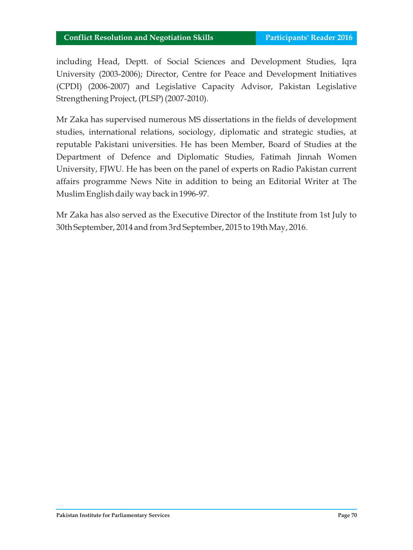including Head, Deptt. of Social Sciences and Development Studies, Iqra University (2003-2006); Director, Centre for Peace and Development Initiatives (CPDI) (2006-2007) and Legislative Capacity Advisor, Pakistan Legislative Strengthening Project, (PLSP) (2007-2010).

Mr Zaka has supervised numerous MS dissertations in the fields of development studies, international relations, sociology, diplomatic and strategic studies, at reputable Pakistani universities. He has been Member, Board of Studies at the Department of Defence and Diplomatic Studies, Fatimah Jinnah Women University, FJWU. He has been on the panel of experts on Radio Pakistan current affairs programme News Nite in addition to being an Editorial Writer at The Muslim English daily way back in 1996-97.

Mr Zaka has also served as the Executive Director of the Institute from 1st July to 30th September, 2014 and from 3rd September, 2015 to 19th May, 2016.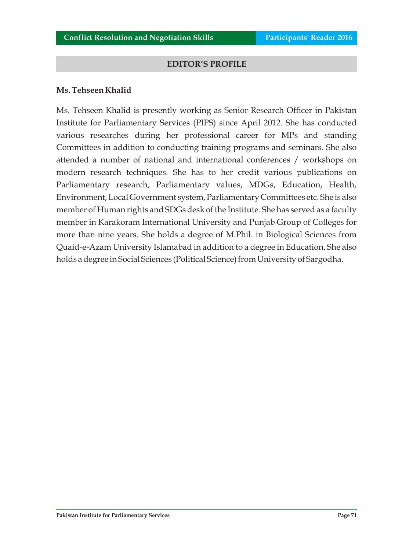#### **EDITOR'S PROFILE**

#### **Ms. Tehseen Khalid**

Ms. Tehseen Khalid is presently working as Senior Research Officer in Pakistan Institute for Parliamentary Services (PIPS) since April 2012. She has conducted various researches during her professional career for MPs and standing Committees in addition to conducting training programs and seminars. She also attended a number of national and international conferences / workshops on modern research techniques. She has to her credit various publications on Parliamentary research, Parliamentary values, MDGs, Education, Health, Environment, Local Government system, Parliamentary Committees etc. She is also member of Human rights and SDGs desk of the Institute. She has served as a faculty member in Karakoram International University and Punjab Group of Colleges for more than nine years. She holds a degree of M.Phil. in Biological Sciences from Quaid-e-Azam University Islamabad in addition to a degree in Education. She also holds a degree in Social Sciences (Political Science) from University of Sargodha.